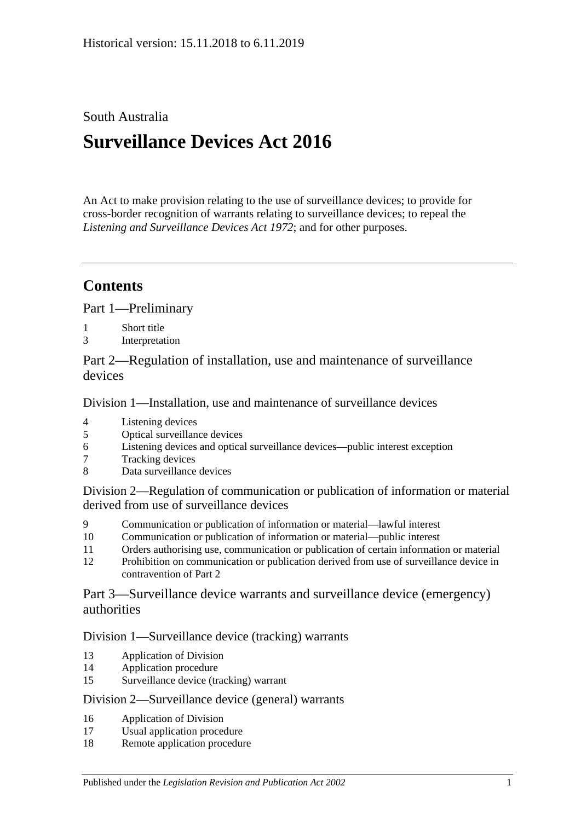## South Australia

# **Surveillance Devices Act 2016**

An Act to make provision relating to the use of surveillance devices; to provide for cross-border recognition of warrants relating to surveillance devices; to repeal the *[Listening and Surveillance Devices Act](http://www.legislation.sa.gov.au/index.aspx?action=legref&type=act&legtitle=Listening%20and%20Surveillance%20Devices%20Act%201972) 1972*; and for other purposes.

# **Contents**

Part [1—Preliminary](#page-1-0)

- 1 [Short title](#page-1-1)
- 3 [Interpretation](#page-2-0)

Part [2—Regulation of installation, use and maintenance of surveillance](#page-8-0)  [devices](#page-8-0)

Division [1—Installation, use and maintenance of surveillance devices](#page-8-1)

- 4 [Listening devices](#page-8-2)<br>5 Optical surveillan
- [Optical surveillance devices](#page-9-0)
- 6 [Listening devices and optical surveillance devices—public interest exception](#page-11-0)
- 7 [Tracking devices](#page-12-0)
- 8 [Data surveillance devices](#page-12-1)

Division [2—Regulation of communication or publication of information or material](#page-13-0)  [derived from use of surveillance devices](#page-13-0)

- 9 [Communication or publication of information or material—lawful interest](#page-13-1)
- 10 [Communication or publication of information or material—public interest](#page-14-0)
- 11 [Orders authorising use, communication or publication of certain information or material](#page-14-1)
- 12 [Prohibition on communication or publication derived from use of surveillance device in](#page-15-0)  [contravention of Part](#page-15-0) 2

Part [3—Surveillance device warrants and surveillance device \(emergency\)](#page-15-1)  [authorities](#page-15-1)

#### Division [1—Surveillance device \(tracking\) warrants](#page-15-2)

- 13 [Application of Division](#page-15-3)
- 14 [Application procedure](#page-16-0)
- 15 [Surveillance device \(tracking\) warrant](#page-17-0)

#### Division [2—Surveillance device \(general\) warrants](#page-18-0)

- 16 [Application of Division](#page-18-1)
- 17 [Usual application procedure](#page-18-2)
- 18 [Remote application procedure](#page-19-0)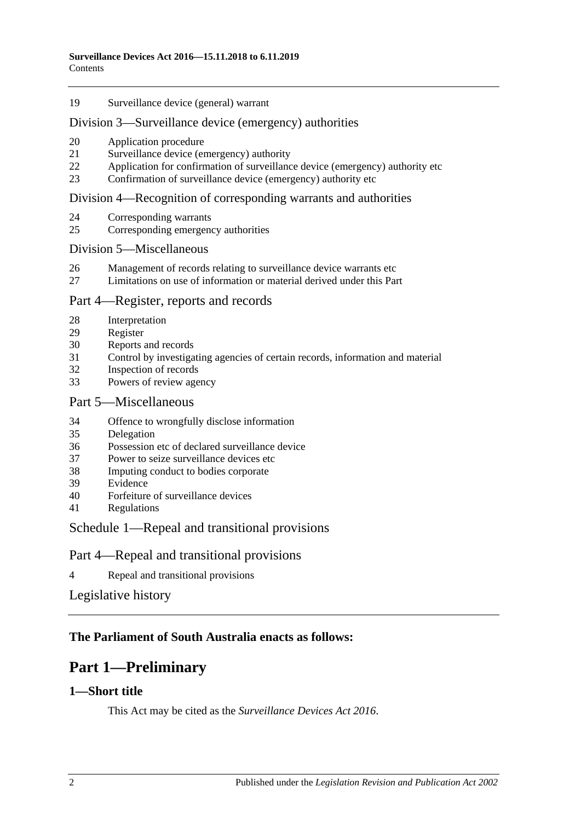[Surveillance device \(general\) warrant](#page-21-0)

#### Division [3—Surveillance device \(emergency\) authorities](#page-23-0)

- [Application procedure](#page-23-1)
- [Surveillance device \(emergency\) authority](#page-24-0)
- [Application for confirmation of surveillance device \(emergency\) authority etc](#page-26-0)
- [Confirmation of surveillance device \(emergency\) authority etc](#page-27-0)

#### Division [4—Recognition of corresponding warrants and authorities](#page-27-1)

- [Corresponding warrants](#page-27-2)
- [Corresponding emergency authorities](#page-27-3)

#### Division [5—Miscellaneous](#page-28-0)

- [Management of records relating to surveillance device warrants etc](#page-28-1)
- [Limitations on use of information or material derived under this Part](#page-28-2)

### Part [4—Register, reports and records](#page-29-0)

- [Interpretation](#page-29-1)
- [Register](#page-29-2)
- [Reports and records](#page-31-0)
- [Control by investigating agencies of certain records, information and material](#page-34-0)
- [Inspection of records](#page-34-1)
- [Powers of review agency](#page-35-0)

## Part [5—Miscellaneous](#page-36-0)

- [Offence to wrongfully disclose information](#page-36-1)
- [Delegation](#page-36-2)
- [Possession etc of declared surveillance device](#page-37-0)
- [Power to seize surveillance devices etc](#page-38-0)
- [Imputing conduct to bodies corporate](#page-38-1)
- [Evidence](#page-39-0)
- [Forfeiture of surveillance devices](#page-39-1)
- [Regulations](#page-39-2)

### Schedule [1—Repeal and transitional provisions](#page-39-3)

### Part 4—Repeal and transitional provisions

[Repeal and transitional provisions](#page-39-4)

### [Legislative history](#page-41-0)

## <span id="page-1-0"></span>**The Parliament of South Australia enacts as follows:**

# **Part 1—Preliminary**

### <span id="page-1-1"></span>**1—Short title**

This Act may be cited as the *Surveillance Devices Act 2016*.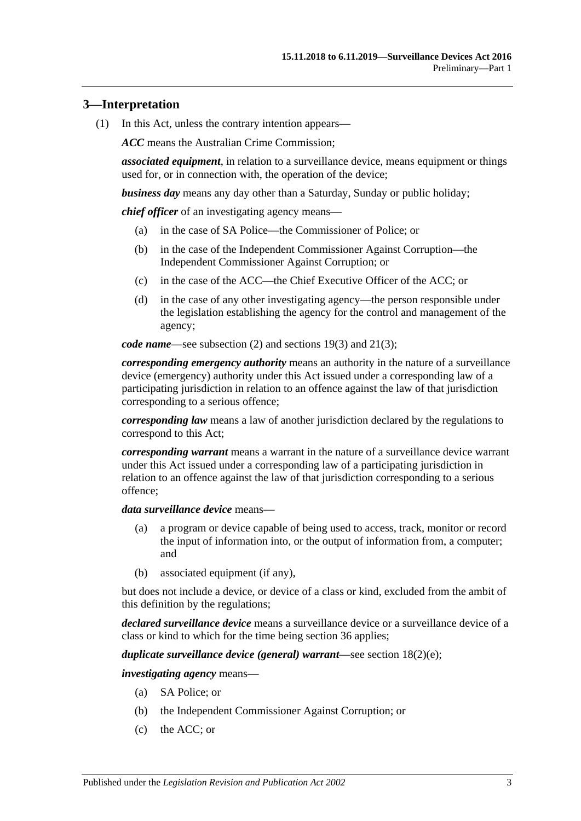## <span id="page-2-0"></span>**3—Interpretation**

(1) In this Act, unless the contrary intention appears—

*ACC* means the Australian Crime Commission;

*associated equipment*, in relation to a surveillance device, means equipment or things used for, or in connection with, the operation of the device;

*business day* means any day other than a Saturday, Sunday or public holiday;

*chief officer* of an investigating agency means—

- (a) in the case of SA Police—the Commissioner of Police; or
- (b) in the case of the Independent Commissioner Against Corruption—the Independent Commissioner Against Corruption; or
- (c) in the case of the ACC—the Chief Executive Officer of the ACC; or
- (d) in the case of any other investigating agency—the person responsible under the legislation establishing the agency for the control and management of the agency;

*code name*—see [subsection](#page-7-0) (2) and [sections](#page-22-0) 19(3) and [21\(3\);](#page-25-0)

*corresponding emergency authority* means an authority in the nature of a surveillance device (emergency) authority under this Act issued under a corresponding law of a participating jurisdiction in relation to an offence against the law of that jurisdiction corresponding to a serious offence;

*corresponding law* means a law of another jurisdiction declared by the regulations to correspond to this Act;

*corresponding warrant* means a warrant in the nature of a surveillance device warrant under this Act issued under a corresponding law of a participating jurisdiction in relation to an offence against the law of that jurisdiction corresponding to a serious offence;

#### *data surveillance device* means—

- (a) a program or device capable of being used to access, track, monitor or record the input of information into, or the output of information from, a computer; and
- (b) associated equipment (if any),

but does not include a device, or device of a class or kind, excluded from the ambit of this definition by the regulations;

*declared surveillance device* means a surveillance device or a surveillance device of a class or kind to which for the time being [section](#page-37-0) 36 applies;

*duplicate surveillance device (general) warrant*—see section [18\(2\)\(e\);](#page-20-0)

*investigating agency* means—

- (a) SA Police; or
- (b) the Independent Commissioner Against Corruption; or
- (c) the ACC; or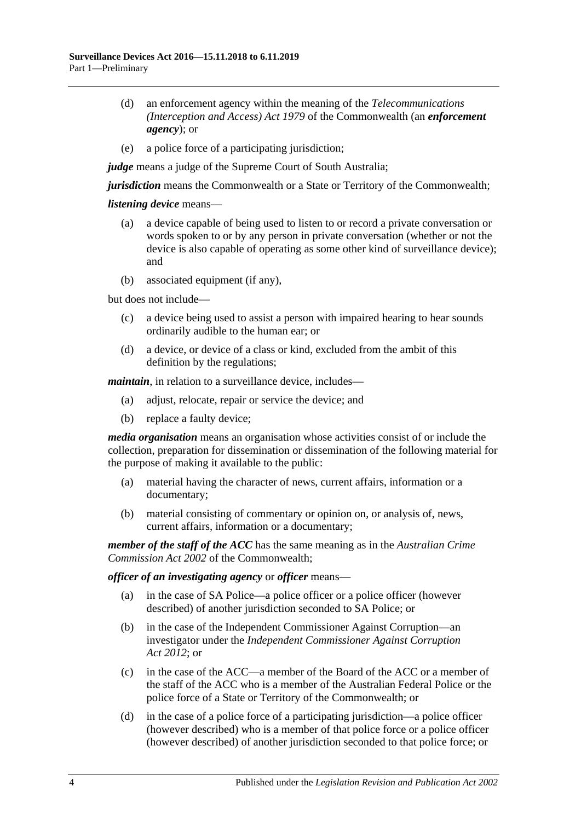- (d) an enforcement agency within the meaning of the *Telecommunications (Interception and Access) Act 1979* of the Commonwealth (an *enforcement agency*); or
- (e) a police force of a participating jurisdiction;

*judge* means a judge of the Supreme Court of South Australia;

*jurisdiction* means the Commonwealth or a State or Territory of the Commonwealth;

#### *listening device* means—

- (a) a device capable of being used to listen to or record a private conversation or words spoken to or by any person in private conversation (whether or not the device is also capable of operating as some other kind of surveillance device); and
- (b) associated equipment (if any),

but does not include—

- (c) a device being used to assist a person with impaired hearing to hear sounds ordinarily audible to the human ear; or
- (d) a device, or device of a class or kind, excluded from the ambit of this definition by the regulations;

*maintain*, in relation to a surveillance device, includes—

- (a) adjust, relocate, repair or service the device; and
- (b) replace a faulty device;

*media organisation* means an organisation whose activities consist of or include the collection, preparation for dissemination or dissemination of the following material for the purpose of making it available to the public:

- (a) material having the character of news, current affairs, information or a documentary;
- (b) material consisting of commentary or opinion on, or analysis of, news, current affairs, information or a documentary;

*member of the staff of the ACC* has the same meaning as in the *Australian Crime Commission Act 2002* of the Commonwealth;

#### *officer of an investigating agency* or *officer* means—

- (a) in the case of SA Police—a police officer or a police officer (however described) of another jurisdiction seconded to SA Police; or
- (b) in the case of the Independent Commissioner Against Corruption—an investigator under the *[Independent Commissioner Against Corruption](http://www.legislation.sa.gov.au/index.aspx?action=legref&type=act&legtitle=Independent%20Commissioner%20Against%20Corruption%20Act%202012)  Act [2012](http://www.legislation.sa.gov.au/index.aspx?action=legref&type=act&legtitle=Independent%20Commissioner%20Against%20Corruption%20Act%202012)*; or
- (c) in the case of the ACC—a member of the Board of the ACC or a member of the staff of the ACC who is a member of the Australian Federal Police or the police force of a State or Territory of the Commonwealth; or
- (d) in the case of a police force of a participating jurisdiction—a police officer (however described) who is a member of that police force or a police officer (however described) of another jurisdiction seconded to that police force; or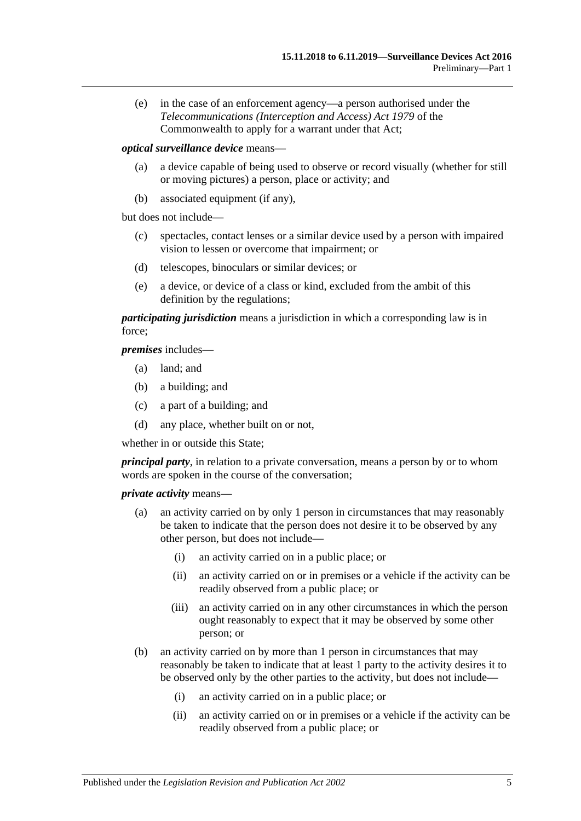(e) in the case of an enforcement agency—a person authorised under the *Telecommunications (Interception and Access) Act 1979* of the Commonwealth to apply for a warrant under that Act;

*optical surveillance device* means—

- (a) a device capable of being used to observe or record visually (whether for still or moving pictures) a person, place or activity; and
- (b) associated equipment (if any),

but does not include—

- (c) spectacles, contact lenses or a similar device used by a person with impaired vision to lessen or overcome that impairment; or
- (d) telescopes, binoculars or similar devices; or
- (e) a device, or device of a class or kind, excluded from the ambit of this definition by the regulations;

*participating jurisdiction* means a jurisdiction in which a corresponding law is in force;

*premises* includes—

- (a) land; and
- (b) a building; and
- (c) a part of a building; and
- (d) any place, whether built on or not,

whether in or outside this State;

*principal party*, in relation to a private conversation, means a person by or to whom words are spoken in the course of the conversation;

*private activity* means—

- (a) an activity carried on by only 1 person in circumstances that may reasonably be taken to indicate that the person does not desire it to be observed by any other person, but does not include—
	- (i) an activity carried on in a public place; or
	- (ii) an activity carried on or in premises or a vehicle if the activity can be readily observed from a public place; or
	- (iii) an activity carried on in any other circumstances in which the person ought reasonably to expect that it may be observed by some other person; or
- (b) an activity carried on by more than 1 person in circumstances that may reasonably be taken to indicate that at least 1 party to the activity desires it to be observed only by the other parties to the activity, but does not include—
	- (i) an activity carried on in a public place; or
	- (ii) an activity carried on or in premises or a vehicle if the activity can be readily observed from a public place; or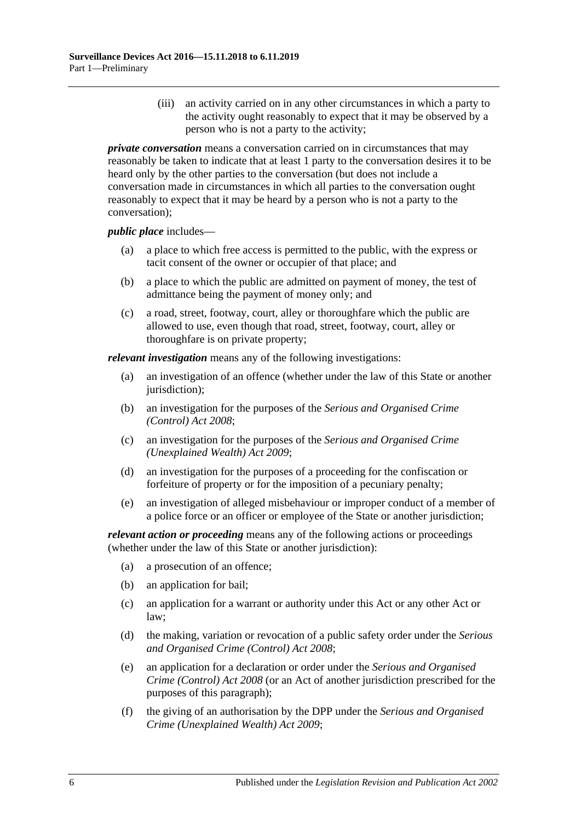(iii) an activity carried on in any other circumstances in which a party to the activity ought reasonably to expect that it may be observed by a person who is not a party to the activity;

*private conversation* means a conversation carried on in circumstances that may reasonably be taken to indicate that at least 1 party to the conversation desires it to be heard only by the other parties to the conversation (but does not include a conversation made in circumstances in which all parties to the conversation ought reasonably to expect that it may be heard by a person who is not a party to the conversation);

#### *public place* includes—

- (a) a place to which free access is permitted to the public, with the express or tacit consent of the owner or occupier of that place; and
- (b) a place to which the public are admitted on payment of money, the test of admittance being the payment of money only; and
- (c) a road, street, footway, court, alley or thoroughfare which the public are allowed to use, even though that road, street, footway, court, alley or thoroughfare is on private property;

*relevant investigation* means any of the following investigations:

- (a) an investigation of an offence (whether under the law of this State or another jurisdiction);
- (b) an investigation for the purposes of the *[Serious and Organised Crime](http://www.legislation.sa.gov.au/index.aspx?action=legref&type=act&legtitle=Serious%20and%20Organised%20Crime%20(Control)%20Act%202008)  [\(Control\) Act](http://www.legislation.sa.gov.au/index.aspx?action=legref&type=act&legtitle=Serious%20and%20Organised%20Crime%20(Control)%20Act%202008) 2008*;
- (c) an investigation for the purposes of the *[Serious and Organised Crime](http://www.legislation.sa.gov.au/index.aspx?action=legref&type=act&legtitle=Serious%20and%20Organised%20Crime%20(Unexplained%20Wealth)%20Act%202009)  [\(Unexplained Wealth\) Act](http://www.legislation.sa.gov.au/index.aspx?action=legref&type=act&legtitle=Serious%20and%20Organised%20Crime%20(Unexplained%20Wealth)%20Act%202009) 2009*;
- (d) an investigation for the purposes of a proceeding for the confiscation or forfeiture of property or for the imposition of a pecuniary penalty;
- (e) an investigation of alleged misbehaviour or improper conduct of a member of a police force or an officer or employee of the State or another jurisdiction;

*relevant action or proceeding* means any of the following actions or proceedings (whether under the law of this State or another jurisdiction):

- (a) a prosecution of an offence;
- (b) an application for bail;
- (c) an application for a warrant or authority under this Act or any other Act or law;
- (d) the making, variation or revocation of a public safety order under the *[Serious](http://www.legislation.sa.gov.au/index.aspx?action=legref&type=act&legtitle=Serious%20and%20Organised%20Crime%20(Control)%20Act%202008)  [and Organised Crime \(Control\) Act](http://www.legislation.sa.gov.au/index.aspx?action=legref&type=act&legtitle=Serious%20and%20Organised%20Crime%20(Control)%20Act%202008) 2008*;
- (e) an application for a declaration or order under the *[Serious and Organised](http://www.legislation.sa.gov.au/index.aspx?action=legref&type=act&legtitle=Serious%20and%20Organised%20Crime%20(Control)%20Act%202008)  [Crime \(Control\) Act](http://www.legislation.sa.gov.au/index.aspx?action=legref&type=act&legtitle=Serious%20and%20Organised%20Crime%20(Control)%20Act%202008) 2008* (or an Act of another jurisdiction prescribed for the purposes of this paragraph);
- (f) the giving of an authorisation by the DPP under the *[Serious and Organised](http://www.legislation.sa.gov.au/index.aspx?action=legref&type=act&legtitle=Serious%20and%20Organised%20Crime%20(Unexplained%20Wealth)%20Act%202009)  [Crime \(Unexplained Wealth\) Act](http://www.legislation.sa.gov.au/index.aspx?action=legref&type=act&legtitle=Serious%20and%20Organised%20Crime%20(Unexplained%20Wealth)%20Act%202009) 2009*;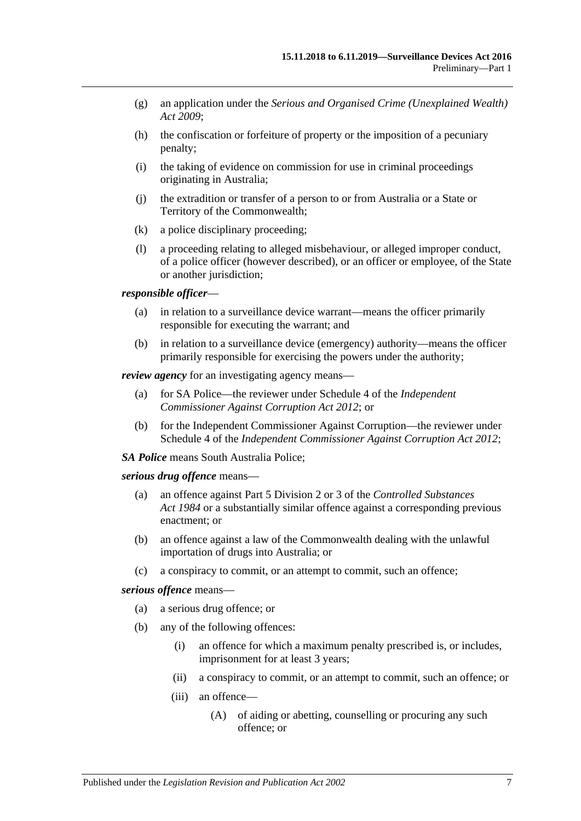- (g) an application under the *[Serious and Organised Crime \(Unexplained Wealth\)](http://www.legislation.sa.gov.au/index.aspx?action=legref&type=act&legtitle=Serious%20and%20Organised%20Crime%20(Unexplained%20Wealth)%20Act%202009)  Act [2009](http://www.legislation.sa.gov.au/index.aspx?action=legref&type=act&legtitle=Serious%20and%20Organised%20Crime%20(Unexplained%20Wealth)%20Act%202009)*;
- (h) the confiscation or forfeiture of property or the imposition of a pecuniary penalty;
- (i) the taking of evidence on commission for use in criminal proceedings originating in Australia;
- (j) the extradition or transfer of a person to or from Australia or a State or Territory of the Commonwealth;
- (k) a police disciplinary proceeding;
- (l) a proceeding relating to alleged misbehaviour, or alleged improper conduct, of a police officer (however described), or an officer or employee, of the State or another jurisdiction;

#### *responsible officer*—

- (a) in relation to a surveillance device warrant—means the officer primarily responsible for executing the warrant; and
- (b) in relation to a surveillance device (emergency) authority—means the officer primarily responsible for exercising the powers under the authority;

*review agency* for an investigating agency means—

- (a) for SA Police—the reviewer under Schedule 4 of the *[Independent](http://www.legislation.sa.gov.au/index.aspx?action=legref&type=act&legtitle=Independent%20Commissioner%20Against%20Corruption%20Act%202012)  [Commissioner Against Corruption Act](http://www.legislation.sa.gov.au/index.aspx?action=legref&type=act&legtitle=Independent%20Commissioner%20Against%20Corruption%20Act%202012) 2012*; or
- (b) for the Independent Commissioner Against Corruption—the reviewer under Schedule 4 of the *[Independent Commissioner Against Corruption Act](http://www.legislation.sa.gov.au/index.aspx?action=legref&type=act&legtitle=Independent%20Commissioner%20Against%20Corruption%20Act%202012) 2012*;

*SA Police* means South Australia Police;

#### *serious drug offence* means—

- (a) an offence against Part 5 Division 2 or 3 of the *[Controlled Substances](http://www.legislation.sa.gov.au/index.aspx?action=legref&type=act&legtitle=Controlled%20Substances%20Act%201984)  Act [1984](http://www.legislation.sa.gov.au/index.aspx?action=legref&type=act&legtitle=Controlled%20Substances%20Act%201984)* or a substantially similar offence against a corresponding previous enactment; or
- (b) an offence against a law of the Commonwealth dealing with the unlawful importation of drugs into Australia; or
- (c) a conspiracy to commit, or an attempt to commit, such an offence;

*serious offence* means—

- (a) a serious drug offence; or
- (b) any of the following offences:
	- (i) an offence for which a maximum penalty prescribed is, or includes, imprisonment for at least 3 years;
	- (ii) a conspiracy to commit, or an attempt to commit, such an offence; or
	- (iii) an offence—
		- (A) of aiding or abetting, counselling or procuring any such offence; or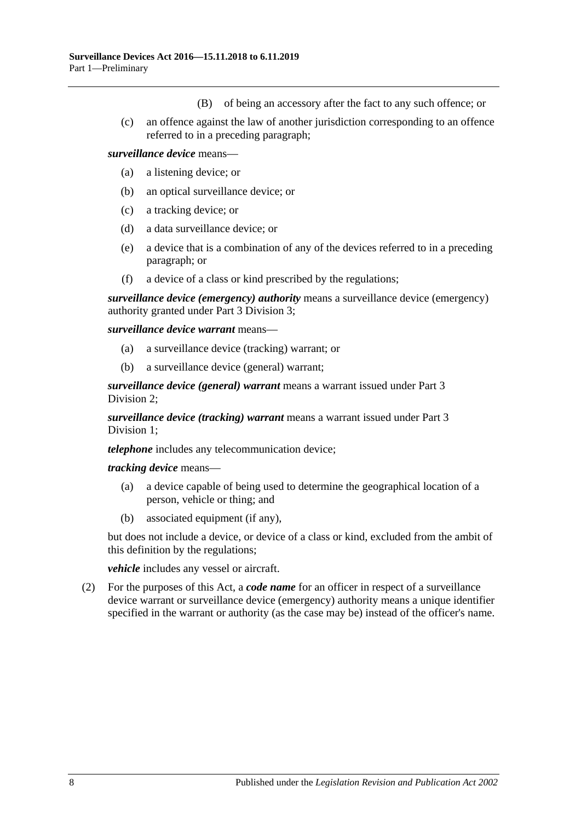- (B) of being an accessory after the fact to any such offence; or
- (c) an offence against the law of another jurisdiction corresponding to an offence referred to in a preceding paragraph;

#### *surveillance device* means—

- (a) a listening device; or
- (b) an optical surveillance device; or
- (c) a tracking device; or
- (d) a data surveillance device; or
- (e) a device that is a combination of any of the devices referred to in a preceding paragraph; or
- (f) a device of a class or kind prescribed by the regulations;

*surveillance device (emergency) authority* means a surveillance device (emergency) authority granted under Part [3 Division](#page-23-0) 3;

*surveillance device warrant* means—

- (a) a surveillance device (tracking) warrant; or
- (b) a surveillance device (general) warrant;

*surveillance device (general) warrant* means a warrant issued under [Part](#page-18-0) 3 [Division](#page-18-0) 2;

*surveillance device (tracking) warrant* means a warrant issued under [Part](#page-15-2) 3 [Division](#page-15-2) 1;

*telephone* includes any telecommunication device;

*tracking device* means—

- (a) a device capable of being used to determine the geographical location of a person, vehicle or thing; and
- (b) associated equipment (if any),

but does not include a device, or device of a class or kind, excluded from the ambit of this definition by the regulations;

*vehicle* includes any vessel or aircraft.

<span id="page-7-0"></span>(2) For the purposes of this Act, a *code name* for an officer in respect of a surveillance device warrant or surveillance device (emergency) authority means a unique identifier specified in the warrant or authority (as the case may be) instead of the officer's name.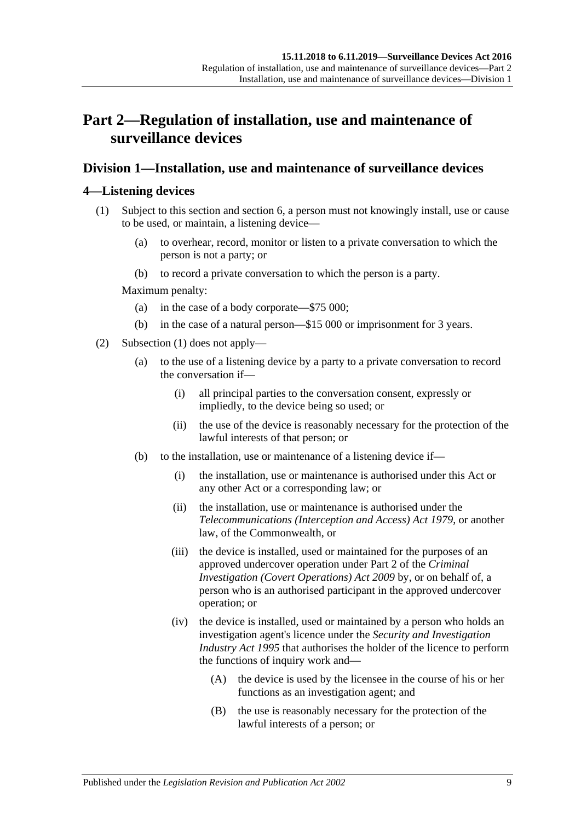# <span id="page-8-0"></span>**Part 2—Regulation of installation, use and maintenance of surveillance devices**

## <span id="page-8-1"></span>**Division 1—Installation, use and maintenance of surveillance devices**

## <span id="page-8-3"></span><span id="page-8-2"></span>**4—Listening devices**

- (1) Subject to this section and [section](#page-11-0) 6, a person must not knowingly install, use or cause to be used, or maintain, a listening device—
	- (a) to overhear, record, monitor or listen to a private conversation to which the person is not a party; or
	- (b) to record a private conversation to which the person is a party.

Maximum penalty:

- (a) in the case of a body corporate—\$75 000;
- (b) in the case of a natural person—\$15 000 or imprisonment for 3 years.
- <span id="page-8-6"></span><span id="page-8-5"></span><span id="page-8-4"></span>(2) [Subsection](#page-8-3) (1) does not apply—
	- (a) to the use of a listening device by a party to a private conversation to record the conversation if—
		- (i) all principal parties to the conversation consent, expressly or impliedly, to the device being so used; or
		- (ii) the use of the device is reasonably necessary for the protection of the lawful interests of that person; or
	- (b) to the installation, use or maintenance of a listening device if—
		- (i) the installation, use or maintenance is authorised under this Act or any other Act or a corresponding law; or
		- (ii) the installation, use or maintenance is authorised under the *Telecommunications (Interception and Access) Act 1979*, or another law, of the Commonwealth, or
		- (iii) the device is installed, used or maintained for the purposes of an approved undercover operation under Part 2 of the *[Criminal](http://www.legislation.sa.gov.au/index.aspx?action=legref&type=act&legtitle=Criminal%20Investigation%20(Covert%20Operations)%20Act%202009)  [Investigation \(Covert Operations\) Act](http://www.legislation.sa.gov.au/index.aspx?action=legref&type=act&legtitle=Criminal%20Investigation%20(Covert%20Operations)%20Act%202009) 2009* by, or on behalf of, a person who is an authorised participant in the approved undercover operation; or
		- (iv) the device is installed, used or maintained by a person who holds an investigation agent's licence under the *[Security and Investigation](http://www.legislation.sa.gov.au/index.aspx?action=legref&type=act&legtitle=Security%20and%20Investigation%20Industry%20Act%201995)  [Industry Act](http://www.legislation.sa.gov.au/index.aspx?action=legref&type=act&legtitle=Security%20and%20Investigation%20Industry%20Act%201995) 1995* that authorises the holder of the licence to perform the functions of inquiry work and—
			- (A) the device is used by the licensee in the course of his or her functions as an investigation agent; and
			- (B) the use is reasonably necessary for the protection of the lawful interests of a person; or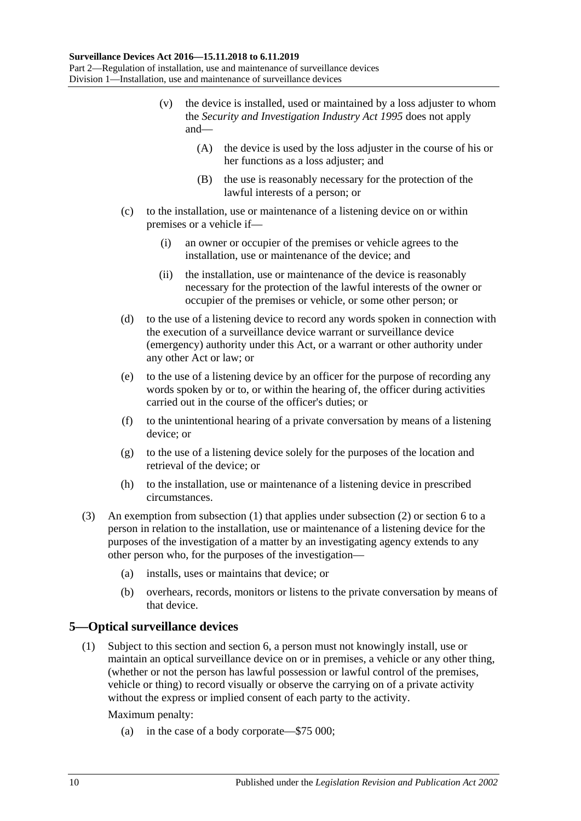- <span id="page-9-2"></span>(v) the device is installed, used or maintained by a loss adjuster to whom the *[Security and Investigation Industry Act](http://www.legislation.sa.gov.au/index.aspx?action=legref&type=act&legtitle=Security%20and%20Investigation%20Industry%20Act%201995) 1995* does not apply and—
	- (A) the device is used by the loss adjuster in the course of his or her functions as a loss adjuster; and
	- (B) the use is reasonably necessary for the protection of the lawful interests of a person; or
- (c) to the installation, use or maintenance of a listening device on or within premises or a vehicle if—
	- (i) an owner or occupier of the premises or vehicle agrees to the installation, use or maintenance of the device; and
	- (ii) the installation, use or maintenance of the device is reasonably necessary for the protection of the lawful interests of the owner or occupier of the premises or vehicle, or some other person; or
- (d) to the use of a listening device to record any words spoken in connection with the execution of a surveillance device warrant or surveillance device (emergency) authority under this Act, or a warrant or other authority under any other Act or law; or
- (e) to the use of a listening device by an officer for the purpose of recording any words spoken by or to, or within the hearing of, the officer during activities carried out in the course of the officer's duties; or
- (f) to the unintentional hearing of a private conversation by means of a listening device; or
- (g) to the use of a listening device solely for the purposes of the location and retrieval of the device; or
- (h) to the installation, use or maintenance of a listening device in prescribed circumstances.
- (3) An exemption from [subsection](#page-8-3) (1) that applies under [subsection](#page-8-4) (2) or [section](#page-11-0) 6 to a person in relation to the installation, use or maintenance of a listening device for the purposes of the investigation of a matter by an investigating agency extends to any other person who, for the purposes of the investigation—
	- (a) installs, uses or maintains that device; or
	- (b) overhears, records, monitors or listens to the private conversation by means of that device.

### <span id="page-9-1"></span><span id="page-9-0"></span>**5—Optical surveillance devices**

(1) Subject to this section and [section](#page-11-0) 6, a person must not knowingly install, use or maintain an optical surveillance device on or in premises, a vehicle or any other thing, (whether or not the person has lawful possession or lawful control of the premises, vehicle or thing) to record visually or observe the carrying on of a private activity without the express or implied consent of each party to the activity.

Maximum penalty:

(a) in the case of a body corporate—\$75 000;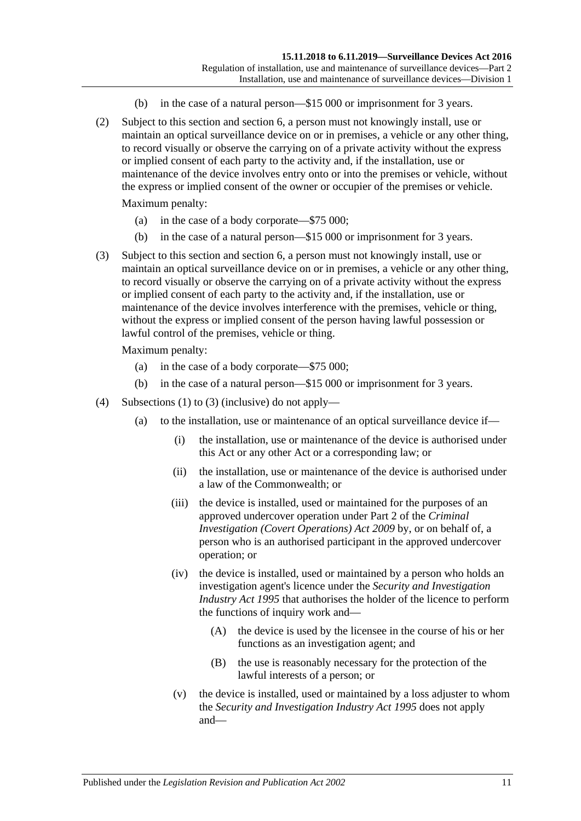- (b) in the case of a natural person—\$15 000 or imprisonment for 3 years.
- (2) Subject to this section and [section](#page-11-0) 6, a person must not knowingly install, use or maintain an optical surveillance device on or in premises, a vehicle or any other thing, to record visually or observe the carrying on of a private activity without the express or implied consent of each party to the activity and, if the installation, use or maintenance of the device involves entry onto or into the premises or vehicle, without the express or implied consent of the owner or occupier of the premises or vehicle.

Maximum penalty:

- (a) in the case of a body corporate—\$75 000;
- (b) in the case of a natural person—\$15 000 or imprisonment for 3 years.
- <span id="page-10-0"></span>(3) Subject to this section and [section](#page-11-0) 6, a person must not knowingly install, use or maintain an optical surveillance device on or in premises, a vehicle or any other thing, to record visually or observe the carrying on of a private activity without the express or implied consent of each party to the activity and, if the installation, use or maintenance of the device involves interference with the premises, vehicle or thing, without the express or implied consent of the person having lawful possession or lawful control of the premises, vehicle or thing.

Maximum penalty:

- (a) in the case of a body corporate—\$75 000;
- (b) in the case of a natural person—\$15 000 or imprisonment for 3 years.
- <span id="page-10-3"></span><span id="page-10-2"></span><span id="page-10-1"></span>(4) [Subsections \(1\)](#page-9-1) to [\(3\)](#page-10-0) (inclusive) do not apply—
	- (a) to the installation, use or maintenance of an optical surveillance device if—
		- (i) the installation, use or maintenance of the device is authorised under this Act or any other Act or a corresponding law; or
		- (ii) the installation, use or maintenance of the device is authorised under a law of the Commonwealth; or
		- (iii) the device is installed, used or maintained for the purposes of an approved undercover operation under Part 2 of the *[Criminal](http://www.legislation.sa.gov.au/index.aspx?action=legref&type=act&legtitle=Criminal%20Investigation%20(Covert%20Operations)%20Act%202009)  [Investigation \(Covert Operations\) Act](http://www.legislation.sa.gov.au/index.aspx?action=legref&type=act&legtitle=Criminal%20Investigation%20(Covert%20Operations)%20Act%202009) 2009* by, or on behalf of, a person who is an authorised participant in the approved undercover operation; or
		- (iv) the device is installed, used or maintained by a person who holds an investigation agent's licence under the *[Security and Investigation](http://www.legislation.sa.gov.au/index.aspx?action=legref&type=act&legtitle=Security%20and%20Investigation%20Industry%20Act%201995)  [Industry Act](http://www.legislation.sa.gov.au/index.aspx?action=legref&type=act&legtitle=Security%20and%20Investigation%20Industry%20Act%201995) 1995* that authorises the holder of the licence to perform the functions of inquiry work and—
			- (A) the device is used by the licensee in the course of his or her functions as an investigation agent; and
			- (B) the use is reasonably necessary for the protection of the lawful interests of a person; or
		- (v) the device is installed, used or maintained by a loss adjuster to whom the *[Security and Investigation Industry Act](http://www.legislation.sa.gov.au/index.aspx?action=legref&type=act&legtitle=Security%20and%20Investigation%20Industry%20Act%201995) 1995* does not apply and—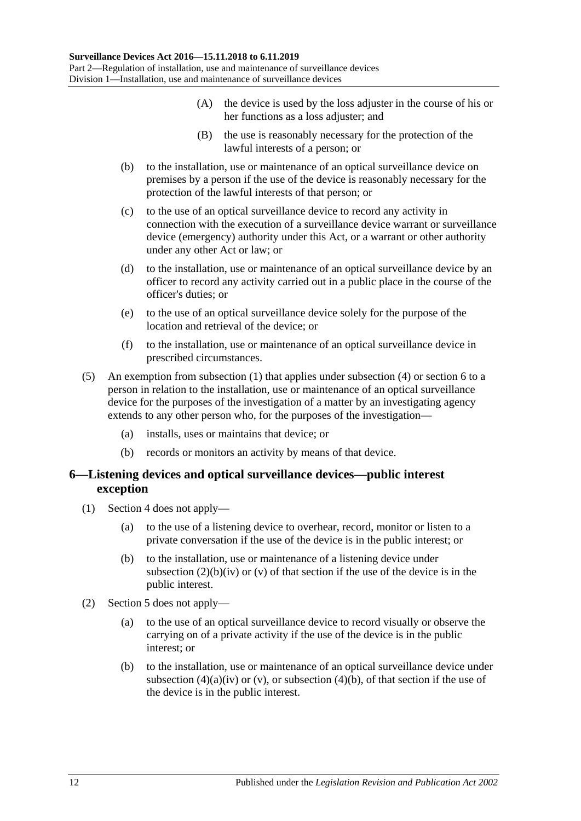- (A) the device is used by the loss adjuster in the course of his or her functions as a loss adjuster; and
- (B) the use is reasonably necessary for the protection of the lawful interests of a person; or
- <span id="page-11-1"></span>(b) to the installation, use or maintenance of an optical surveillance device on premises by a person if the use of the device is reasonably necessary for the protection of the lawful interests of that person; or
- (c) to the use of an optical surveillance device to record any activity in connection with the execution of a surveillance device warrant or surveillance device (emergency) authority under this Act, or a warrant or other authority under any other Act or law; or
- (d) to the installation, use or maintenance of an optical surveillance device by an officer to record any activity carried out in a public place in the course of the officer's duties; or
- (e) to the use of an optical surveillance device solely for the purpose of the location and retrieval of the device; or
- (f) to the installation, use or maintenance of an optical surveillance device in prescribed circumstances.
- (5) An exemption from [subsection](#page-9-1) (1) that applies under [subsection](#page-10-1) (4) or [section](#page-11-0) 6 to a person in relation to the installation, use or maintenance of an optical surveillance device for the purposes of the investigation of a matter by an investigating agency extends to any other person who, for the purposes of the investigation—
	- (a) installs, uses or maintains that device; or
	- (b) records or monitors an activity by means of that device.

### <span id="page-11-0"></span>**6—Listening devices and optical surveillance devices—public interest exception**

- (1) [Section 4](#page-8-2) does not apply—
	- (a) to the use of a listening device to overhear, record, monitor or listen to a private conversation if the use of the device is in the public interest; or
	- (b) to the installation, use or maintenance of a listening device under [subsection](#page-8-5)  $(2)(b)(iv)$  or  $(v)$  of that section if the use of the device is in the public interest.
- (2) [Section 5](#page-9-0) does not apply—
	- (a) to the use of an optical surveillance device to record visually or observe the carrying on of a private activity if the use of the device is in the public interest; or
	- (b) to the installation, use or maintenance of an optical surveillance device under [subsection](#page-10-2) (4)(a)(iv) or [\(v\),](#page-10-3) or [subsection](#page-11-1) (4)(b), of that section if the use of the device is in the public interest.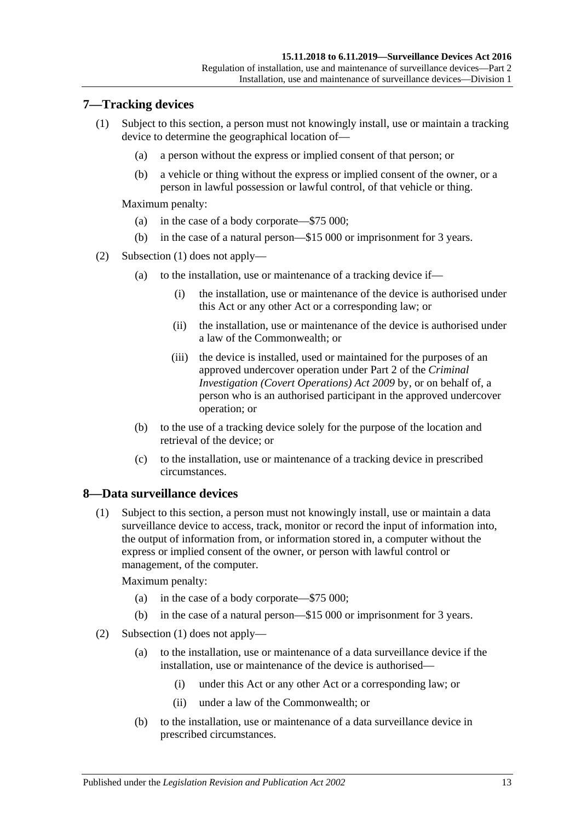## <span id="page-12-2"></span><span id="page-12-0"></span>**7—Tracking devices**

- (1) Subject to this section, a person must not knowingly install, use or maintain a tracking device to determine the geographical location of—
	- (a) a person without the express or implied consent of that person; or
	- (b) a vehicle or thing without the express or implied consent of the owner, or a person in lawful possession or lawful control, of that vehicle or thing.

Maximum penalty:

- (a) in the case of a body corporate—\$75 000;
- (b) in the case of a natural person—\$15 000 or imprisonment for 3 years.
- (2) [Subsection \(1\)](#page-12-2) does not apply—
	- (a) to the installation, use or maintenance of a tracking device if—
		- (i) the installation, use or maintenance of the device is authorised under this Act or any other Act or a corresponding law; or
		- (ii) the installation, use or maintenance of the device is authorised under a law of the Commonwealth; or
		- (iii) the device is installed, used or maintained for the purposes of an approved undercover operation under Part 2 of the *[Criminal](http://www.legislation.sa.gov.au/index.aspx?action=legref&type=act&legtitle=Criminal%20Investigation%20(Covert%20Operations)%20Act%202009)  [Investigation \(Covert Operations\) Act](http://www.legislation.sa.gov.au/index.aspx?action=legref&type=act&legtitle=Criminal%20Investigation%20(Covert%20Operations)%20Act%202009) 2009* by, or on behalf of, a person who is an authorised participant in the approved undercover operation; or
	- (b) to the use of a tracking device solely for the purpose of the location and retrieval of the device; or
	- (c) to the installation, use or maintenance of a tracking device in prescribed circumstances.

### <span id="page-12-3"></span><span id="page-12-1"></span>**8—Data surveillance devices**

(1) Subject to this section, a person must not knowingly install, use or maintain a data surveillance device to access, track, monitor or record the input of information into, the output of information from, or information stored in, a computer without the express or implied consent of the owner, or person with lawful control or management, of the computer.

Maximum penalty:

- (a) in the case of a body corporate—\$75 000;
- (b) in the case of a natural person—\$15 000 or imprisonment for 3 years.
- (2) [Subsection \(1\)](#page-12-3) does not apply—
	- (a) to the installation, use or maintenance of a data surveillance device if the installation, use or maintenance of the device is authorised—
		- (i) under this Act or any other Act or a corresponding law; or
		- (ii) under a law of the Commonwealth; or
	- (b) to the installation, use or maintenance of a data surveillance device in prescribed circumstances.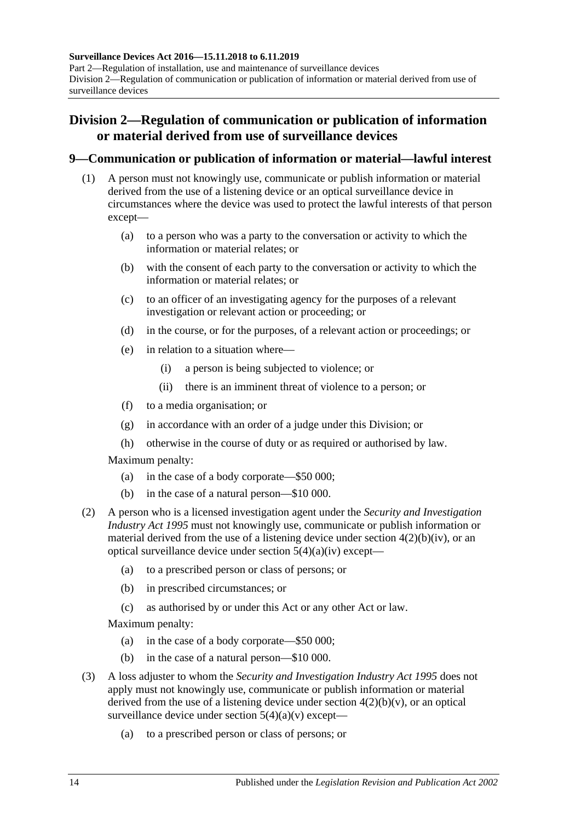**Surveillance Devices Act 2016—15.11.2018 to 6.11.2019** Part 2—Regulation of installation, use and maintenance of surveillance devices Division 2—Regulation of communication or publication of information or material derived from use of surveillance devices

# <span id="page-13-0"></span>**Division 2—Regulation of communication or publication of information or material derived from use of surveillance devices**

### <span id="page-13-1"></span>**9—Communication or publication of information or material—lawful interest**

- (1) A person must not knowingly use, communicate or publish information or material derived from the use of a listening device or an optical surveillance device in circumstances where the device was used to protect the lawful interests of that person except—
	- (a) to a person who was a party to the conversation or activity to which the information or material relates; or
	- (b) with the consent of each party to the conversation or activity to which the information or material relates; or
	- (c) to an officer of an investigating agency for the purposes of a relevant investigation or relevant action or proceeding; or
	- (d) in the course, or for the purposes, of a relevant action or proceedings; or
	- (e) in relation to a situation where—
		- (i) a person is being subjected to violence; or
		- (ii) there is an imminent threat of violence to a person; or
	- (f) to a media organisation; or
	- (g) in accordance with an order of a judge under this Division; or
	- (h) otherwise in the course of duty or as required or authorised by law.

Maximum penalty:

- (a) in the case of a body corporate—\$50 000;
- (b) in the case of a natural person—\$10 000.
- (2) A person who is a licensed investigation agent under the *[Security and Investigation](http://www.legislation.sa.gov.au/index.aspx?action=legref&type=act&legtitle=Security%20and%20Investigation%20Industry%20Act%201995)  [Industry Act](http://www.legislation.sa.gov.au/index.aspx?action=legref&type=act&legtitle=Security%20and%20Investigation%20Industry%20Act%201995) 1995* must not knowingly use, communicate or publish information or material derived from the use of a listening device under section  $4(2)(b)(iv)$ , or an optical surveillance device under section [5\(4\)\(a\)\(iv\)](#page-10-2) except—
	- (a) to a prescribed person or class of persons; or
	- (b) in prescribed circumstances; or
	- (c) as authorised by or under this Act or any other Act or law.

Maximum penalty:

- (a) in the case of a body corporate—\$50 000;
- (b) in the case of a natural person—\$10 000.
- (3) A loss adjuster to whom the *[Security and Investigation Industry Act](http://www.legislation.sa.gov.au/index.aspx?action=legref&type=act&legtitle=Security%20and%20Investigation%20Industry%20Act%201995) 1995* does not apply must not knowingly use, communicate or publish information or material derived from the use of a listening device under section  $4(2)(b)(v)$ , or an optical surveillance device under section  $5(4)(a)(v)$  except—
	- (a) to a prescribed person or class of persons; or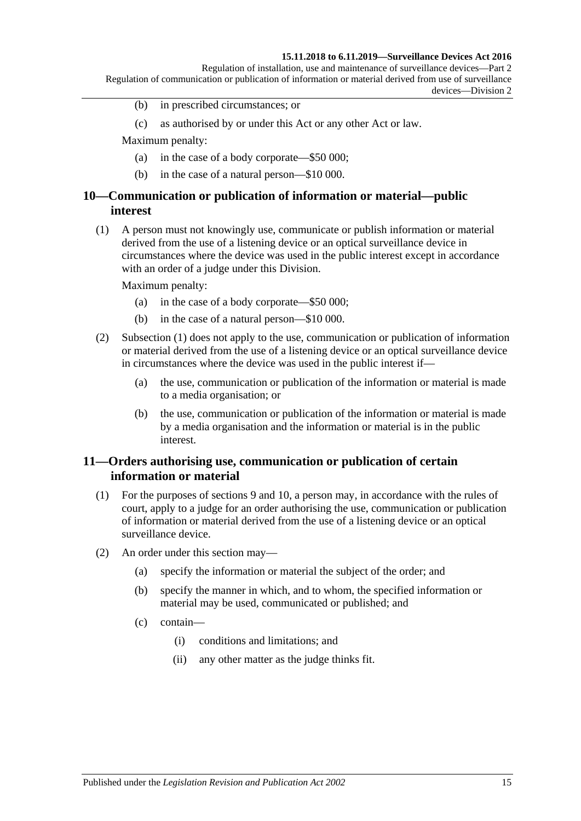#### **15.11.2018 to 6.11.2019—Surveillance Devices Act 2016**

Regulation of installation, use and maintenance of surveillance devices—Part 2 Regulation of communication or publication of information or material derived from use of surveillance devices—Division 2

- (b) in prescribed circumstances; or
- (c) as authorised by or under this Act or any other Act or law.

Maximum penalty:

- (a) in the case of a body corporate—\$50 000;
- (b) in the case of a natural person—\$10 000.

### <span id="page-14-0"></span>**10—Communication or publication of information or material—public interest**

<span id="page-14-2"></span>(1) A person must not knowingly use, communicate or publish information or material derived from the use of a listening device or an optical surveillance device in circumstances where the device was used in the public interest except in accordance with an order of a judge under this Division.

Maximum penalty:

- (a) in the case of a body corporate—\$50 000;
- (b) in the case of a natural person—\$10 000.
- (2) [Subsection \(1\)](#page-14-2) does not apply to the use, communication or publication of information or material derived from the use of a listening device or an optical surveillance device in circumstances where the device was used in the public interest if—
	- (a) the use, communication or publication of the information or material is made to a media organisation; or
	- (b) the use, communication or publication of the information or material is made by a media organisation and the information or material is in the public interest.

### <span id="page-14-1"></span>**11—Orders authorising use, communication or publication of certain information or material**

- (1) For the purposes of [sections](#page-13-1) 9 and [10,](#page-14-0) a person may, in accordance with the rules of court, apply to a judge for an order authorising the use, communication or publication of information or material derived from the use of a listening device or an optical surveillance device.
- (2) An order under this section may—
	- (a) specify the information or material the subject of the order; and
	- (b) specify the manner in which, and to whom, the specified information or material may be used, communicated or published; and
	- (c) contain—
		- (i) conditions and limitations; and
		- (ii) any other matter as the judge thinks fit.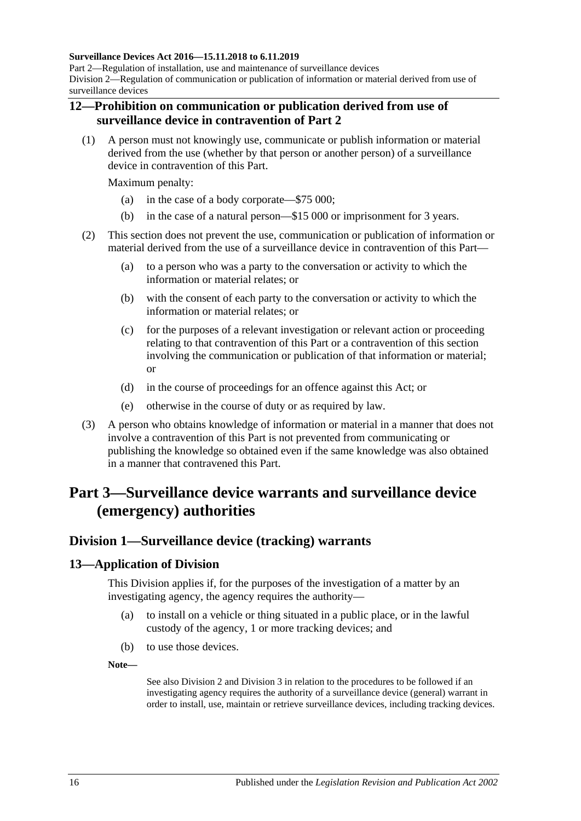#### **Surveillance Devices Act 2016—15.11.2018 to 6.11.2019**

Part 2—Regulation of installation, use and maintenance of surveillance devices Division 2—Regulation of communication or publication of information or material derived from use of surveillance devices

#### <span id="page-15-0"></span>**12—Prohibition on communication or publication derived from use of surveillance device in contravention of [Part](#page-8-0) 2**

(1) A person must not knowingly use, communicate or publish information or material derived from the use (whether by that person or another person) of a surveillance device in contravention of this Part.

Maximum penalty:

- (a) in the case of a body corporate—\$75 000;
- (b) in the case of a natural person—\$15 000 or imprisonment for 3 years.
- (2) This section does not prevent the use, communication or publication of information or material derived from the use of a surveillance device in contravention of this Part—
	- (a) to a person who was a party to the conversation or activity to which the information or material relates; or
	- (b) with the consent of each party to the conversation or activity to which the information or material relates; or
	- (c) for the purposes of a relevant investigation or relevant action or proceeding relating to that contravention of this Part or a contravention of this section involving the communication or publication of that information or material; or
	- (d) in the course of proceedings for an offence against this Act; or
	- (e) otherwise in the course of duty or as required by law.
- (3) A person who obtains knowledge of information or material in a manner that does not involve a contravention of this Part is not prevented from communicating or publishing the knowledge so obtained even if the same knowledge was also obtained in a manner that contravened this Part.

# <span id="page-15-1"></span>**Part 3—Surveillance device warrants and surveillance device (emergency) authorities**

## <span id="page-15-2"></span>**Division 1—Surveillance device (tracking) warrants**

### <span id="page-15-3"></span>**13—Application of Division**

This Division applies if, for the purposes of the investigation of a matter by an investigating agency, the agency requires the authority—

- (a) to install on a vehicle or thing situated in a public place, or in the lawful custody of the agency, 1 or more tracking devices; and
- (b) to use those devices.

**Note—**

See also [Division](#page-18-0) 2 and [Division](#page-23-0) 3 in relation to the procedures to be followed if an investigating agency requires the authority of a surveillance device (general) warrant in order to install, use, maintain or retrieve surveillance devices, including tracking devices.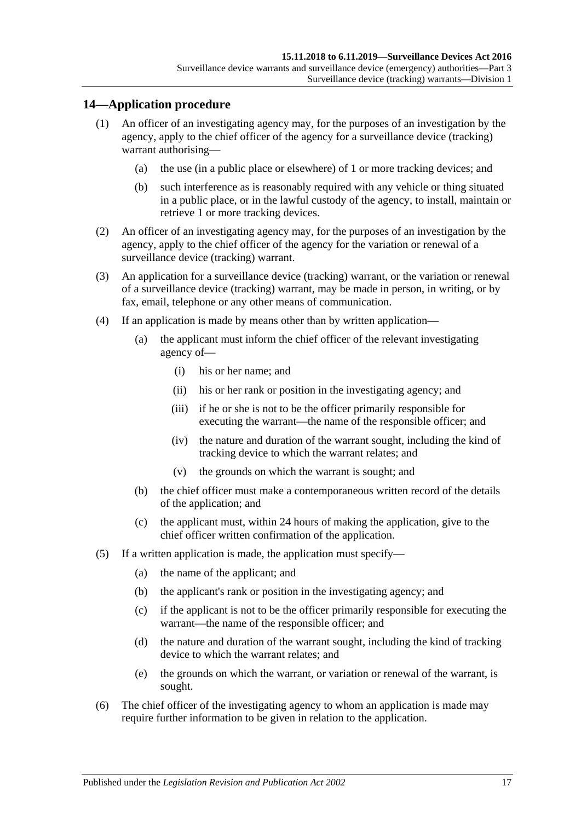### <span id="page-16-0"></span>**14—Application procedure**

- (1) An officer of an investigating agency may, for the purposes of an investigation by the agency, apply to the chief officer of the agency for a surveillance device (tracking) warrant authorising—
	- (a) the use (in a public place or elsewhere) of 1 or more tracking devices; and
	- (b) such interference as is reasonably required with any vehicle or thing situated in a public place, or in the lawful custody of the agency, to install, maintain or retrieve 1 or more tracking devices.
- (2) An officer of an investigating agency may, for the purposes of an investigation by the agency, apply to the chief officer of the agency for the variation or renewal of a surveillance device (tracking) warrant.
- (3) An application for a surveillance device (tracking) warrant, or the variation or renewal of a surveillance device (tracking) warrant, may be made in person, in writing, or by fax, email, telephone or any other means of communication.
- (4) If an application is made by means other than by written application—
	- (a) the applicant must inform the chief officer of the relevant investigating agency of—
		- (i) his or her name; and
		- (ii) his or her rank or position in the investigating agency; and
		- (iii) if he or she is not to be the officer primarily responsible for executing the warrant—the name of the responsible officer; and
		- (iv) the nature and duration of the warrant sought, including the kind of tracking device to which the warrant relates; and
		- (v) the grounds on which the warrant is sought; and
	- (b) the chief officer must make a contemporaneous written record of the details of the application; and
	- (c) the applicant must, within 24 hours of making the application, give to the chief officer written confirmation of the application.
- (5) If a written application is made, the application must specify—
	- (a) the name of the applicant; and
	- (b) the applicant's rank or position in the investigating agency; and
	- (c) if the applicant is not to be the officer primarily responsible for executing the warrant—the name of the responsible officer; and
	- (d) the nature and duration of the warrant sought, including the kind of tracking device to which the warrant relates; and
	- (e) the grounds on which the warrant, or variation or renewal of the warrant, is sought.
- (6) The chief officer of the investigating agency to whom an application is made may require further information to be given in relation to the application.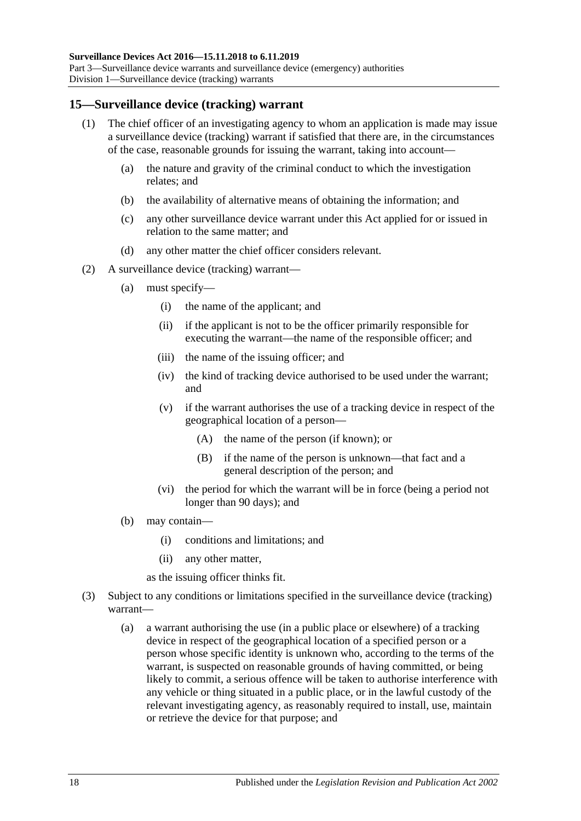### <span id="page-17-0"></span>**15—Surveillance device (tracking) warrant**

- (1) The chief officer of an investigating agency to whom an application is made may issue a surveillance device (tracking) warrant if satisfied that there are, in the circumstances of the case, reasonable grounds for issuing the warrant, taking into account—
	- (a) the nature and gravity of the criminal conduct to which the investigation relates; and
	- (b) the availability of alternative means of obtaining the information; and
	- (c) any other surveillance device warrant under this Act applied for or issued in relation to the same matter; and
	- (d) any other matter the chief officer considers relevant.
- (2) A surveillance device (tracking) warrant—
	- (a) must specify—
		- (i) the name of the applicant; and
		- (ii) if the applicant is not to be the officer primarily responsible for executing the warrant—the name of the responsible officer; and
		- (iii) the name of the issuing officer; and
		- (iv) the kind of tracking device authorised to be used under the warrant; and
		- (v) if the warrant authorises the use of a tracking device in respect of the geographical location of a person—
			- (A) the name of the person (if known); or
			- (B) if the name of the person is unknown—that fact and a general description of the person; and
		- (vi) the period for which the warrant will be in force (being a period not longer than 90 days); and
	- (b) may contain—
		- (i) conditions and limitations; and
		- (ii) any other matter,

as the issuing officer thinks fit.

- <span id="page-17-1"></span>(3) Subject to any conditions or limitations specified in the surveillance device (tracking) warrant—
	- (a) a warrant authorising the use (in a public place or elsewhere) of a tracking device in respect of the geographical location of a specified person or a person whose specific identity is unknown who, according to the terms of the warrant, is suspected on reasonable grounds of having committed, or being likely to commit, a serious offence will be taken to authorise interference with any vehicle or thing situated in a public place, or in the lawful custody of the relevant investigating agency, as reasonably required to install, use, maintain or retrieve the device for that purpose; and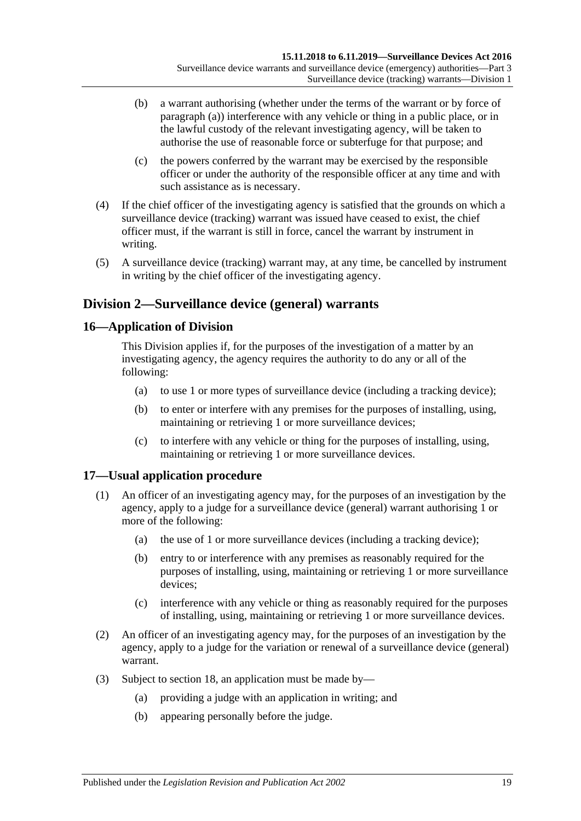- (b) a warrant authorising (whether under the terms of the warrant or by force of [paragraph](#page-17-1) (a)) interference with any vehicle or thing in a public place, or in the lawful custody of the relevant investigating agency, will be taken to authorise the use of reasonable force or subterfuge for that purpose; and
- (c) the powers conferred by the warrant may be exercised by the responsible officer or under the authority of the responsible officer at any time and with such assistance as is necessary.
- (4) If the chief officer of the investigating agency is satisfied that the grounds on which a surveillance device (tracking) warrant was issued have ceased to exist, the chief officer must, if the warrant is still in force, cancel the warrant by instrument in writing.
- (5) A surveillance device (tracking) warrant may, at any time, be cancelled by instrument in writing by the chief officer of the investigating agency.

# <span id="page-18-0"></span>**Division 2—Surveillance device (general) warrants**

## <span id="page-18-1"></span>**16—Application of Division**

This Division applies if, for the purposes of the investigation of a matter by an investigating agency, the agency requires the authority to do any or all of the following:

- (a) to use 1 or more types of surveillance device (including a tracking device);
- (b) to enter or interfere with any premises for the purposes of installing, using, maintaining or retrieving 1 or more surveillance devices;
- (c) to interfere with any vehicle or thing for the purposes of installing, using, maintaining or retrieving 1 or more surveillance devices.

## <span id="page-18-2"></span>**17—Usual application procedure**

- (1) An officer of an investigating agency may, for the purposes of an investigation by the agency, apply to a judge for a surveillance device (general) warrant authorising 1 or more of the following:
	- (a) the use of 1 or more surveillance devices (including a tracking device);
	- (b) entry to or interference with any premises as reasonably required for the purposes of installing, using, maintaining or retrieving 1 or more surveillance devices;
	- (c) interference with any vehicle or thing as reasonably required for the purposes of installing, using, maintaining or retrieving 1 or more surveillance devices.
- (2) An officer of an investigating agency may, for the purposes of an investigation by the agency, apply to a judge for the variation or renewal of a surveillance device (general) warrant.
- (3) Subject to [section](#page-19-0) 18, an application must be made by—
	- (a) providing a judge with an application in writing; and
	- (b) appearing personally before the judge.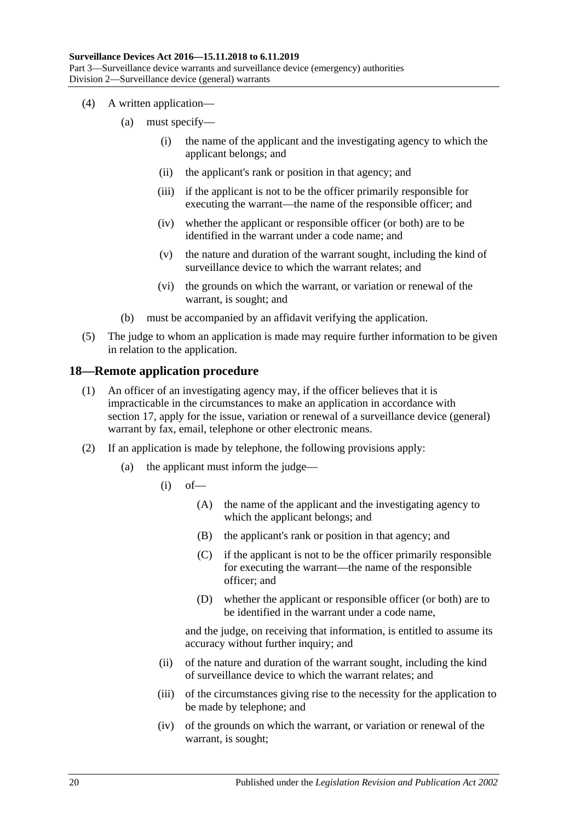- (4) A written application—
	- (a) must specify—
		- (i) the name of the applicant and the investigating agency to which the applicant belongs; and
		- (ii) the applicant's rank or position in that agency; and
		- (iii) if the applicant is not to be the officer primarily responsible for executing the warrant—the name of the responsible officer; and
		- (iv) whether the applicant or responsible officer (or both) are to be identified in the warrant under a code name; and
		- (v) the nature and duration of the warrant sought, including the kind of surveillance device to which the warrant relates; and
		- (vi) the grounds on which the warrant, or variation or renewal of the warrant, is sought; and
	- (b) must be accompanied by an affidavit verifying the application.
- (5) The judge to whom an application is made may require further information to be given in relation to the application.

### <span id="page-19-0"></span>**18—Remote application procedure**

- (1) An officer of an investigating agency may, if the officer believes that it is impracticable in the circumstances to make an application in accordance with [section](#page-18-2) 17, apply for the issue, variation or renewal of a surveillance device (general) warrant by fax, email, telephone or other electronic means.
- (2) If an application is made by telephone, the following provisions apply:
	- (a) the applicant must inform the judge—
		- $(i)$  of
			- (A) the name of the applicant and the investigating agency to which the applicant belongs; and
			- (B) the applicant's rank or position in that agency; and
			- (C) if the applicant is not to be the officer primarily responsible for executing the warrant—the name of the responsible officer; and
			- (D) whether the applicant or responsible officer (or both) are to be identified in the warrant under a code name,

and the judge, on receiving that information, is entitled to assume its accuracy without further inquiry; and

- (ii) of the nature and duration of the warrant sought, including the kind of surveillance device to which the warrant relates; and
- (iii) of the circumstances giving rise to the necessity for the application to be made by telephone; and
- (iv) of the grounds on which the warrant, or variation or renewal of the warrant, is sought;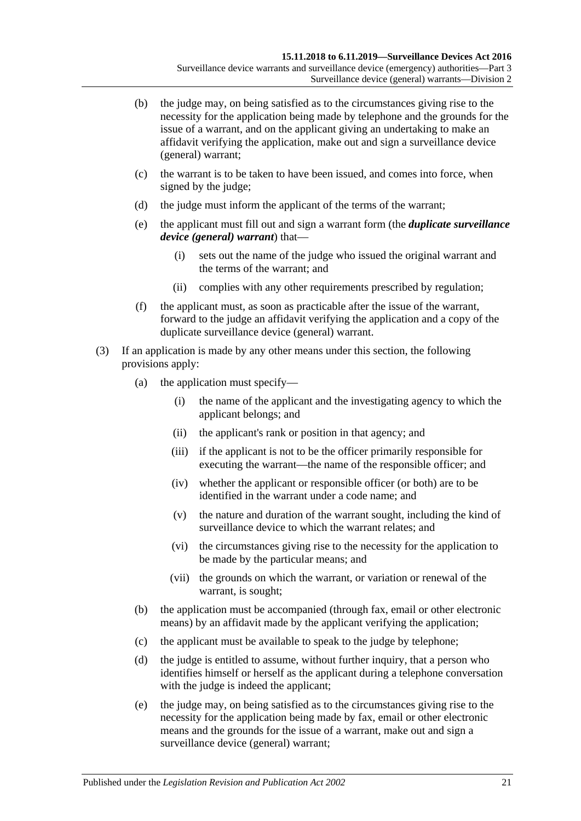- (b) the judge may, on being satisfied as to the circumstances giving rise to the necessity for the application being made by telephone and the grounds for the issue of a warrant, and on the applicant giving an undertaking to make an affidavit verifying the application, make out and sign a surveillance device (general) warrant;
- (c) the warrant is to be taken to have been issued, and comes into force, when signed by the judge;
- (d) the judge must inform the applicant of the terms of the warrant;
- <span id="page-20-0"></span>(e) the applicant must fill out and sign a warrant form (the *duplicate surveillance device (general) warrant*) that—
	- (i) sets out the name of the judge who issued the original warrant and the terms of the warrant; and
	- (ii) complies with any other requirements prescribed by regulation;
- (f) the applicant must, as soon as practicable after the issue of the warrant, forward to the judge an affidavit verifying the application and a copy of the duplicate surveillance device (general) warrant.
- (3) If an application is made by any other means under this section, the following provisions apply:
	- (a) the application must specify—
		- (i) the name of the applicant and the investigating agency to which the applicant belongs; and
		- (ii) the applicant's rank or position in that agency; and
		- (iii) if the applicant is not to be the officer primarily responsible for executing the warrant—the name of the responsible officer; and
		- (iv) whether the applicant or responsible officer (or both) are to be identified in the warrant under a code name; and
		- (v) the nature and duration of the warrant sought, including the kind of surveillance device to which the warrant relates; and
		- (vi) the circumstances giving rise to the necessity for the application to be made by the particular means; and
		- (vii) the grounds on which the warrant, or variation or renewal of the warrant, is sought;
	- (b) the application must be accompanied (through fax, email or other electronic means) by an affidavit made by the applicant verifying the application;
	- (c) the applicant must be available to speak to the judge by telephone;
	- (d) the judge is entitled to assume, without further inquiry, that a person who identifies himself or herself as the applicant during a telephone conversation with the judge is indeed the applicant;
	- (e) the judge may, on being satisfied as to the circumstances giving rise to the necessity for the application being made by fax, email or other electronic means and the grounds for the issue of a warrant, make out and sign a surveillance device (general) warrant;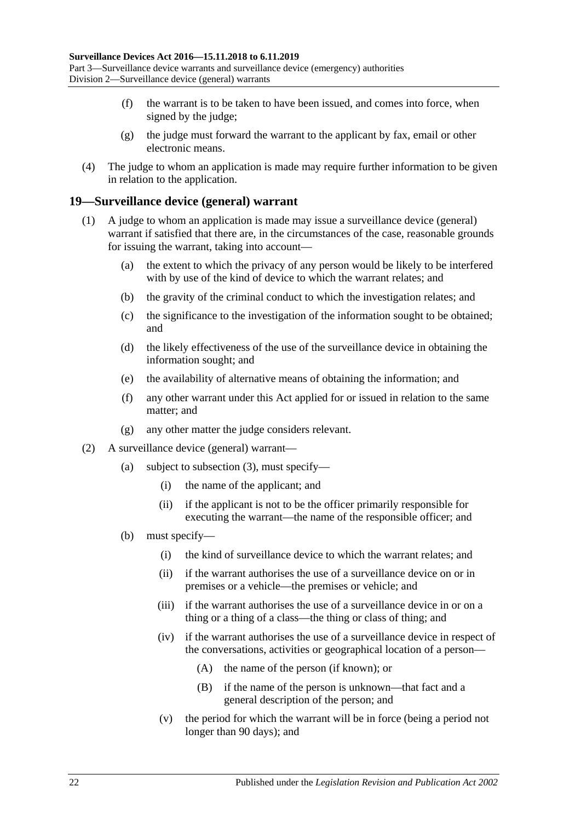- (f) the warrant is to be taken to have been issued, and comes into force, when signed by the judge;
- (g) the judge must forward the warrant to the applicant by fax, email or other electronic means.
- (4) The judge to whom an application is made may require further information to be given in relation to the application.

#### <span id="page-21-0"></span>**19—Surveillance device (general) warrant**

- (1) A judge to whom an application is made may issue a surveillance device (general) warrant if satisfied that there are, in the circumstances of the case, reasonable grounds for issuing the warrant, taking into account—
	- (a) the extent to which the privacy of any person would be likely to be interfered with by use of the kind of device to which the warrant relates; and
	- (b) the gravity of the criminal conduct to which the investigation relates; and
	- (c) the significance to the investigation of the information sought to be obtained; and
	- (d) the likely effectiveness of the use of the surveillance device in obtaining the information sought; and
	- (e) the availability of alternative means of obtaining the information; and
	- (f) any other warrant under this Act applied for or issued in relation to the same matter; and
	- (g) any other matter the judge considers relevant.
- (2) A surveillance device (general) warrant—
	- (a) subject to [subsection](#page-22-0) (3), must specify—
		- (i) the name of the applicant; and
		- (ii) if the applicant is not to be the officer primarily responsible for executing the warrant—the name of the responsible officer; and
	- (b) must specify—
		- (i) the kind of surveillance device to which the warrant relates; and
		- (ii) if the warrant authorises the use of a surveillance device on or in premises or a vehicle—the premises or vehicle; and
		- (iii) if the warrant authorises the use of a surveillance device in or on a thing or a thing of a class—the thing or class of thing; and
		- (iv) if the warrant authorises the use of a surveillance device in respect of the conversations, activities or geographical location of a person—
			- (A) the name of the person (if known); or
			- (B) if the name of the person is unknown—that fact and a general description of the person; and
		- (v) the period for which the warrant will be in force (being a period not longer than 90 days); and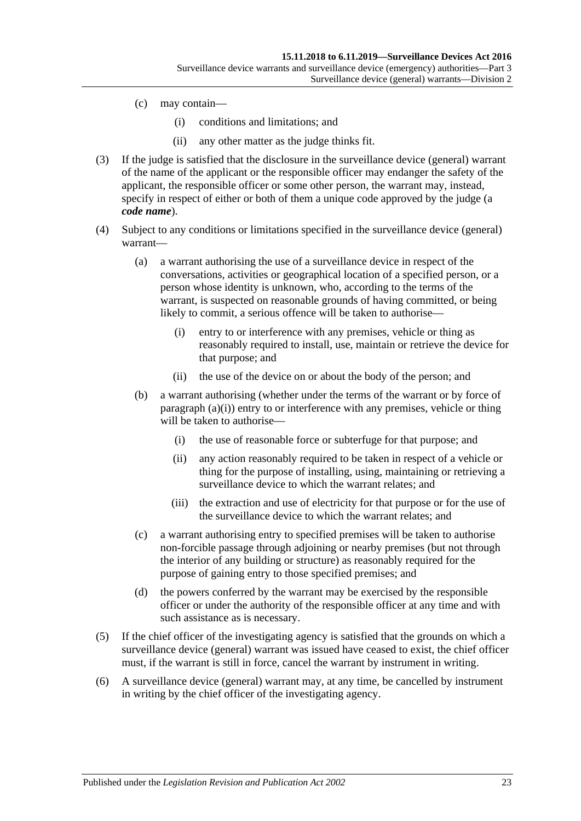- (c) may contain—
	- (i) conditions and limitations; and
	- (ii) any other matter as the judge thinks fit.
- <span id="page-22-0"></span>(3) If the judge is satisfied that the disclosure in the surveillance device (general) warrant of the name of the applicant or the responsible officer may endanger the safety of the applicant, the responsible officer or some other person, the warrant may, instead, specify in respect of either or both of them a unique code approved by the judge (a *code name*).
- <span id="page-22-1"></span>(4) Subject to any conditions or limitations specified in the surveillance device (general) warrant—
	- (a) a warrant authorising the use of a surveillance device in respect of the conversations, activities or geographical location of a specified person, or a person whose identity is unknown, who, according to the terms of the warrant, is suspected on reasonable grounds of having committed, or being likely to commit, a serious offence will be taken to authorise—
		- (i) entry to or interference with any premises, vehicle or thing as reasonably required to install, use, maintain or retrieve the device for that purpose; and
		- (ii) the use of the device on or about the body of the person; and
	- (b) a warrant authorising (whether under the terms of the warrant or by force of [paragraph](#page-22-1) (a)(i)) entry to or interference with any premises, vehicle or thing will be taken to authorise—
		- (i) the use of reasonable force or subterfuge for that purpose; and
		- (ii) any action reasonably required to be taken in respect of a vehicle or thing for the purpose of installing, using, maintaining or retrieving a surveillance device to which the warrant relates; and
		- (iii) the extraction and use of electricity for that purpose or for the use of the surveillance device to which the warrant relates; and
	- (c) a warrant authorising entry to specified premises will be taken to authorise non-forcible passage through adjoining or nearby premises (but not through the interior of any building or structure) as reasonably required for the purpose of gaining entry to those specified premises; and
	- (d) the powers conferred by the warrant may be exercised by the responsible officer or under the authority of the responsible officer at any time and with such assistance as is necessary.
- (5) If the chief officer of the investigating agency is satisfied that the grounds on which a surveillance device (general) warrant was issued have ceased to exist, the chief officer must, if the warrant is still in force, cancel the warrant by instrument in writing.
- (6) A surveillance device (general) warrant may, at any time, be cancelled by instrument in writing by the chief officer of the investigating agency.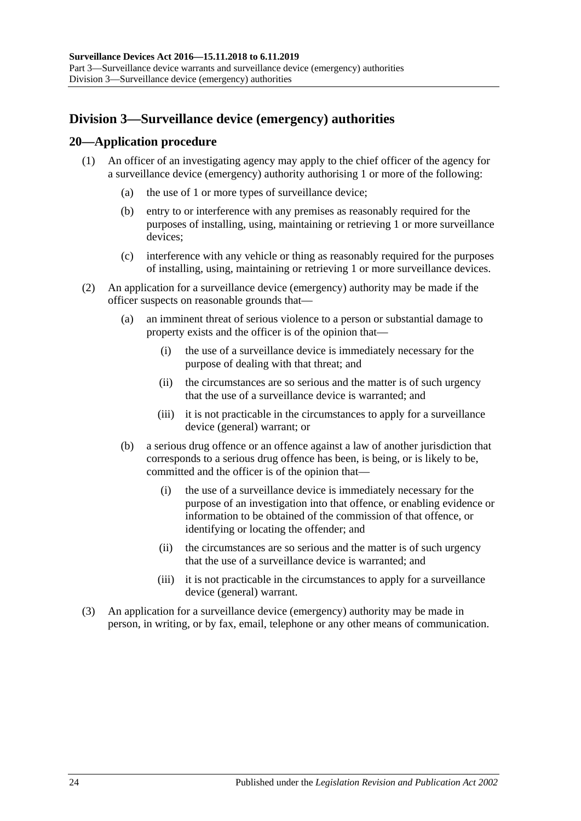# <span id="page-23-0"></span>**Division 3—Surveillance device (emergency) authorities**

## <span id="page-23-1"></span>**20—Application procedure**

- (1) An officer of an investigating agency may apply to the chief officer of the agency for a surveillance device (emergency) authority authorising 1 or more of the following:
	- (a) the use of 1 or more types of surveillance device;
	- (b) entry to or interference with any premises as reasonably required for the purposes of installing, using, maintaining or retrieving 1 or more surveillance devices;
	- (c) interference with any vehicle or thing as reasonably required for the purposes of installing, using, maintaining or retrieving 1 or more surveillance devices.
- (2) An application for a surveillance device (emergency) authority may be made if the officer suspects on reasonable grounds that—
	- (a) an imminent threat of serious violence to a person or substantial damage to property exists and the officer is of the opinion that—
		- (i) the use of a surveillance device is immediately necessary for the purpose of dealing with that threat; and
		- (ii) the circumstances are so serious and the matter is of such urgency that the use of a surveillance device is warranted; and
		- (iii) it is not practicable in the circumstances to apply for a surveillance device (general) warrant; or
	- (b) a serious drug offence or an offence against a law of another jurisdiction that corresponds to a serious drug offence has been, is being, or is likely to be, committed and the officer is of the opinion that—
		- (i) the use of a surveillance device is immediately necessary for the purpose of an investigation into that offence, or enabling evidence or information to be obtained of the commission of that offence, or identifying or locating the offender; and
		- (ii) the circumstances are so serious and the matter is of such urgency that the use of a surveillance device is warranted; and
		- (iii) it is not practicable in the circumstances to apply for a surveillance device (general) warrant.
- (3) An application for a surveillance device (emergency) authority may be made in person, in writing, or by fax, email, telephone or any other means of communication.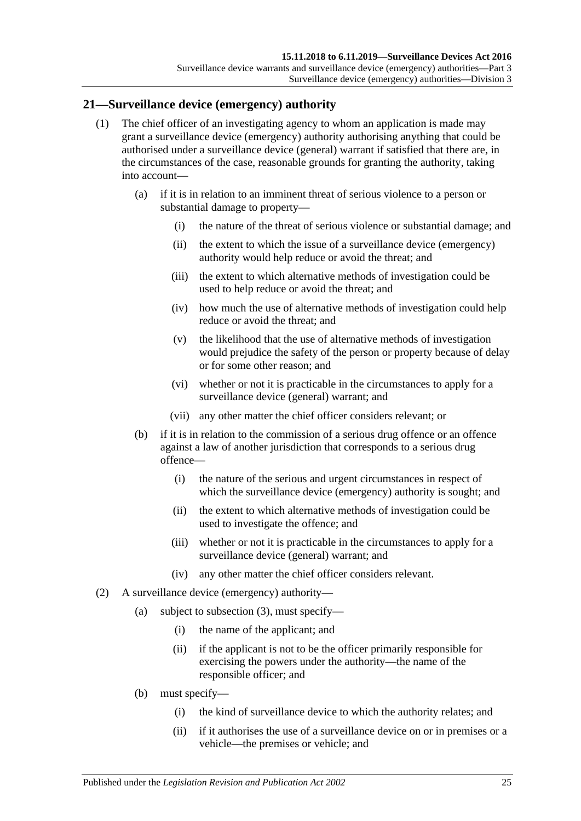## <span id="page-24-0"></span>**21—Surveillance device (emergency) authority**

- (1) The chief officer of an investigating agency to whom an application is made may grant a surveillance device (emergency) authority authorising anything that could be authorised under a surveillance device (general) warrant if satisfied that there are, in the circumstances of the case, reasonable grounds for granting the authority, taking into account—
	- (a) if it is in relation to an imminent threat of serious violence to a person or substantial damage to property—
		- (i) the nature of the threat of serious violence or substantial damage; and
		- (ii) the extent to which the issue of a surveillance device (emergency) authority would help reduce or avoid the threat; and
		- (iii) the extent to which alternative methods of investigation could be used to help reduce or avoid the threat; and
		- (iv) how much the use of alternative methods of investigation could help reduce or avoid the threat; and
		- (v) the likelihood that the use of alternative methods of investigation would prejudice the safety of the person or property because of delay or for some other reason; and
		- (vi) whether or not it is practicable in the circumstances to apply for a surveillance device (general) warrant; and
		- (vii) any other matter the chief officer considers relevant; or
	- (b) if it is in relation to the commission of a serious drug offence or an offence against a law of another jurisdiction that corresponds to a serious drug offence—
		- (i) the nature of the serious and urgent circumstances in respect of which the surveillance device (emergency) authority is sought; and
		- (ii) the extent to which alternative methods of investigation could be used to investigate the offence; and
		- (iii) whether or not it is practicable in the circumstances to apply for a surveillance device (general) warrant; and
		- (iv) any other matter the chief officer considers relevant.
- (2) A surveillance device (emergency) authority—
	- (a) subject to [subsection](#page-25-0) (3), must specify—
		- (i) the name of the applicant; and
		- (ii) if the applicant is not to be the officer primarily responsible for exercising the powers under the authority—the name of the responsible officer; and
	- (b) must specify—
		- (i) the kind of surveillance device to which the authority relates; and
		- (ii) if it authorises the use of a surveillance device on or in premises or a vehicle—the premises or vehicle; and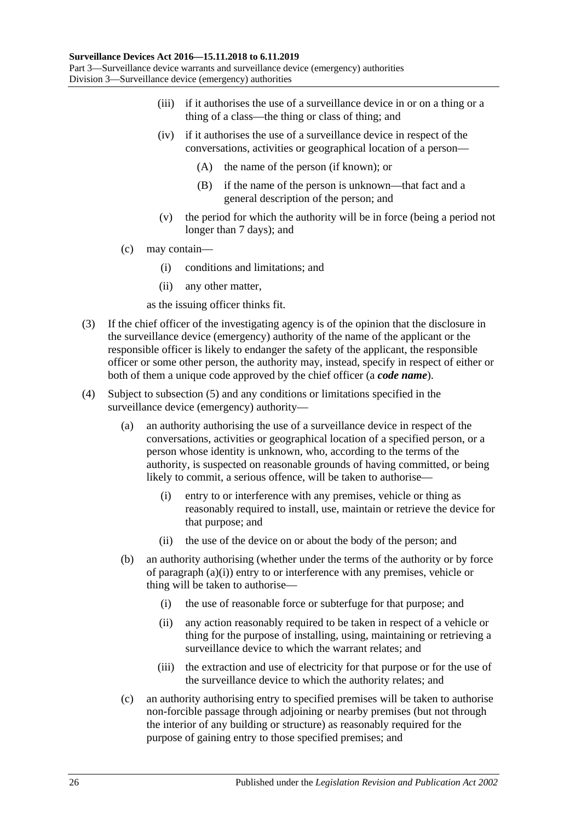- (iii) if it authorises the use of a surveillance device in or on a thing or a thing of a class—the thing or class of thing; and
- (iv) if it authorises the use of a surveillance device in respect of the conversations, activities or geographical location of a person—
	- (A) the name of the person (if known); or
	- (B) if the name of the person is unknown—that fact and a general description of the person; and
- (v) the period for which the authority will be in force (being a period not longer than 7 days); and
- (c) may contain—
	- (i) conditions and limitations; and
	- (ii) any other matter,
	- as the issuing officer thinks fit.
- <span id="page-25-0"></span>(3) If the chief officer of the investigating agency is of the opinion that the disclosure in the surveillance device (emergency) authority of the name of the applicant or the responsible officer is likely to endanger the safety of the applicant, the responsible officer or some other person, the authority may, instead, specify in respect of either or both of them a unique code approved by the chief officer (a *code name*).
- <span id="page-25-1"></span>(4) Subject to [subsection](#page-26-1) (5) and any conditions or limitations specified in the surveillance device (emergency) authority—
	- (a) an authority authorising the use of a surveillance device in respect of the conversations, activities or geographical location of a specified person, or a person whose identity is unknown, who, according to the terms of the authority, is suspected on reasonable grounds of having committed, or being likely to commit, a serious offence, will be taken to authorise—
		- (i) entry to or interference with any premises, vehicle or thing as reasonably required to install, use, maintain or retrieve the device for that purpose; and
		- (ii) the use of the device on or about the body of the person; and
	- (b) an authority authorising (whether under the terms of the authority or by force of [paragraph](#page-25-1) (a)(i)) entry to or interference with any premises, vehicle or thing will be taken to authorise—
		- (i) the use of reasonable force or subterfuge for that purpose; and
		- (ii) any action reasonably required to be taken in respect of a vehicle or thing for the purpose of installing, using, maintaining or retrieving a surveillance device to which the warrant relates; and
		- (iii) the extraction and use of electricity for that purpose or for the use of the surveillance device to which the authority relates; and
	- (c) an authority authorising entry to specified premises will be taken to authorise non-forcible passage through adjoining or nearby premises (but not through the interior of any building or structure) as reasonably required for the purpose of gaining entry to those specified premises; and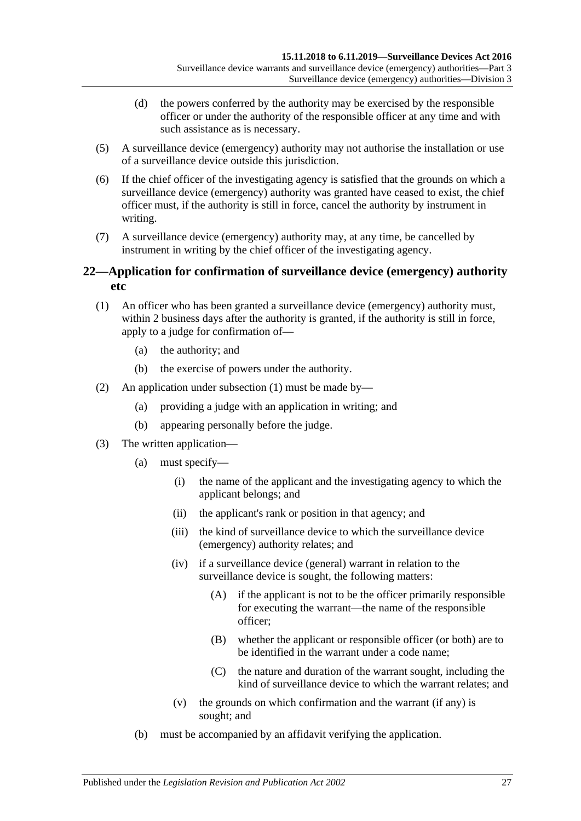- (d) the powers conferred by the authority may be exercised by the responsible officer or under the authority of the responsible officer at any time and with such assistance as is necessary.
- <span id="page-26-1"></span>(5) A surveillance device (emergency) authority may not authorise the installation or use of a surveillance device outside this jurisdiction.
- (6) If the chief officer of the investigating agency is satisfied that the grounds on which a surveillance device (emergency) authority was granted have ceased to exist, the chief officer must, if the authority is still in force, cancel the authority by instrument in writing.
- (7) A surveillance device (emergency) authority may, at any time, be cancelled by instrument in writing by the chief officer of the investigating agency.

## <span id="page-26-0"></span>**22—Application for confirmation of surveillance device (emergency) authority etc**

- <span id="page-26-2"></span>(1) An officer who has been granted a surveillance device (emergency) authority must, within 2 business days after the authority is granted, if the authority is still in force, apply to a judge for confirmation of—
	- (a) the authority; and
	- (b) the exercise of powers under the authority.
- (2) An application under [subsection](#page-26-2) (1) must be made by—
	- (a) providing a judge with an application in writing; and
	- (b) appearing personally before the judge.
- (3) The written application—
	- (a) must specify—
		- (i) the name of the applicant and the investigating agency to which the applicant belongs; and
		- (ii) the applicant's rank or position in that agency; and
		- (iii) the kind of surveillance device to which the surveillance device (emergency) authority relates; and
		- (iv) if a surveillance device (general) warrant in relation to the surveillance device is sought, the following matters:
			- (A) if the applicant is not to be the officer primarily responsible for executing the warrant—the name of the responsible officer;
			- (B) whether the applicant or responsible officer (or both) are to be identified in the warrant under a code name;
			- (C) the nature and duration of the warrant sought, including the kind of surveillance device to which the warrant relates; and
		- (v) the grounds on which confirmation and the warrant (if any) is sought; and
	- (b) must be accompanied by an affidavit verifying the application.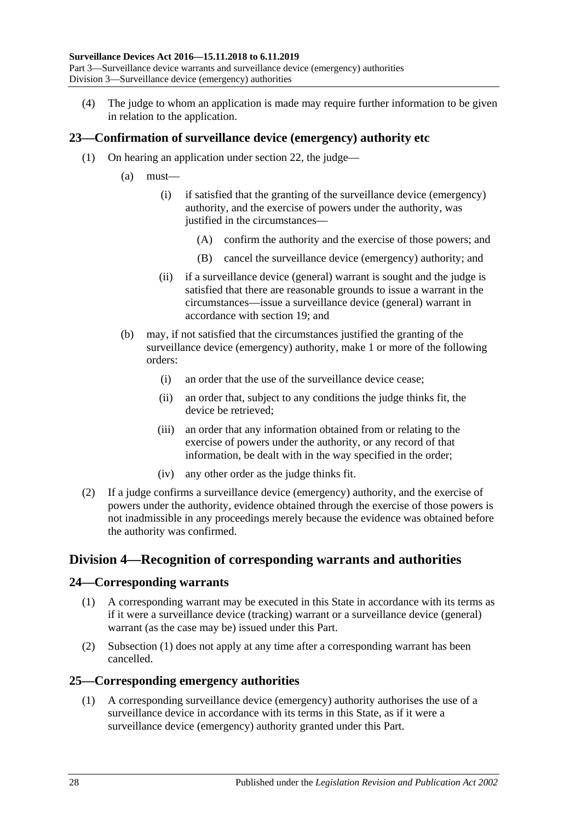(4) The judge to whom an application is made may require further information to be given in relation to the application.

## <span id="page-27-0"></span>**23—Confirmation of surveillance device (emergency) authority etc**

- (1) On hearing an application under [section](#page-26-0) 22, the judge—
	- (a) must—
		- (i) if satisfied that the granting of the surveillance device (emergency) authority, and the exercise of powers under the authority, was justified in the circumstances—
			- (A) confirm the authority and the exercise of those powers; and
			- (B) cancel the surveillance device (emergency) authority; and
		- (ii) if a surveillance device (general) warrant is sought and the judge is satisfied that there are reasonable grounds to issue a warrant in the circumstances—issue a surveillance device (general) warrant in accordance with [section](#page-21-0) 19; and
	- (b) may, if not satisfied that the circumstances justified the granting of the surveillance device (emergency) authority, make 1 or more of the following orders:
		- (i) an order that the use of the surveillance device cease;
		- (ii) an order that, subject to any conditions the judge thinks fit, the device be retrieved;
		- (iii) an order that any information obtained from or relating to the exercise of powers under the authority, or any record of that information, be dealt with in the way specified in the order;
		- (iv) any other order as the judge thinks fit.
- (2) If a judge confirms a surveillance device (emergency) authority, and the exercise of powers under the authority, evidence obtained through the exercise of those powers is not inadmissible in any proceedings merely because the evidence was obtained before the authority was confirmed.

## <span id="page-27-1"></span>**Division 4—Recognition of corresponding warrants and authorities**

### <span id="page-27-4"></span><span id="page-27-2"></span>**24—Corresponding warrants**

- (1) A corresponding warrant may be executed in this State in accordance with its terms as if it were a surveillance device (tracking) warrant or a surveillance device (general) warrant (as the case may be) issued under this Part.
- (2) [Subsection](#page-27-4) (1) does not apply at any time after a corresponding warrant has been cancelled.

### <span id="page-27-5"></span><span id="page-27-3"></span>**25—Corresponding emergency authorities**

(1) A corresponding surveillance device (emergency) authority authorises the use of a surveillance device in accordance with its terms in this State, as if it were a surveillance device (emergency) authority granted under this Part.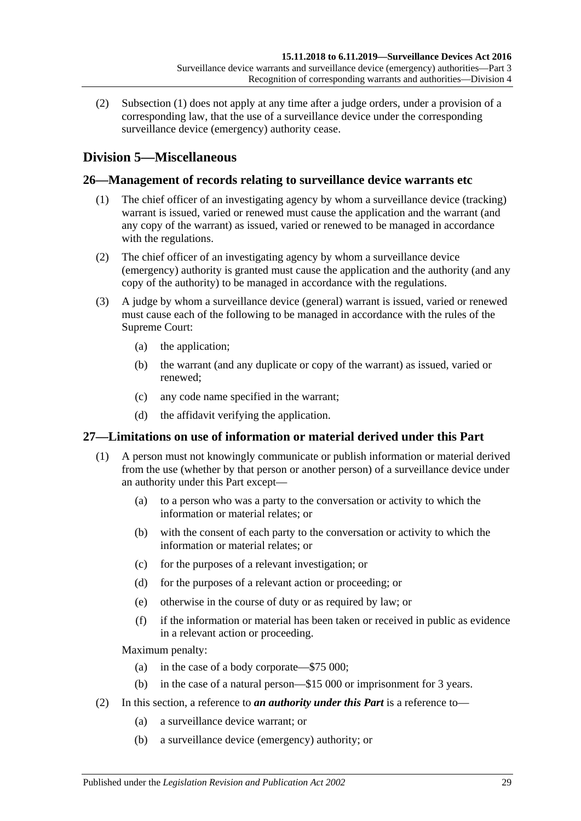(2) [Subsection](#page-27-5) (1) does not apply at any time after a judge orders, under a provision of a corresponding law, that the use of a surveillance device under the corresponding surveillance device (emergency) authority cease.

# <span id="page-28-0"></span>**Division 5—Miscellaneous**

## <span id="page-28-1"></span>**26—Management of records relating to surveillance device warrants etc**

- (1) The chief officer of an investigating agency by whom a surveillance device (tracking) warrant is issued, varied or renewed must cause the application and the warrant (and any copy of the warrant) as issued, varied or renewed to be managed in accordance with the regulations.
- (2) The chief officer of an investigating agency by whom a surveillance device (emergency) authority is granted must cause the application and the authority (and any copy of the authority) to be managed in accordance with the regulations.
- (3) A judge by whom a surveillance device (general) warrant is issued, varied or renewed must cause each of the following to be managed in accordance with the rules of the Supreme Court:
	- (a) the application;
	- (b) the warrant (and any duplicate or copy of the warrant) as issued, varied or renewed;
	- (c) any code name specified in the warrant;
	- (d) the affidavit verifying the application.

### <span id="page-28-2"></span>**27—Limitations on use of information or material derived under this Part**

- (1) A person must not knowingly communicate or publish information or material derived from the use (whether by that person or another person) of a surveillance device under an authority under this Part except—
	- (a) to a person who was a party to the conversation or activity to which the information or material relates; or
	- (b) with the consent of each party to the conversation or activity to which the information or material relates; or
	- (c) for the purposes of a relevant investigation; or
	- (d) for the purposes of a relevant action or proceeding; or
	- (e) otherwise in the course of duty or as required by law; or
	- (f) if the information or material has been taken or received in public as evidence in a relevant action or proceeding.

Maximum penalty:

- (a) in the case of a body corporate—\$75 000;
- (b) in the case of a natural person—\$15 000 or imprisonment for 3 years.
- (2) In this section, a reference to *an authority under this Part* is a reference to—
	- (a) a surveillance device warrant; or
	- (b) a surveillance device (emergency) authority; or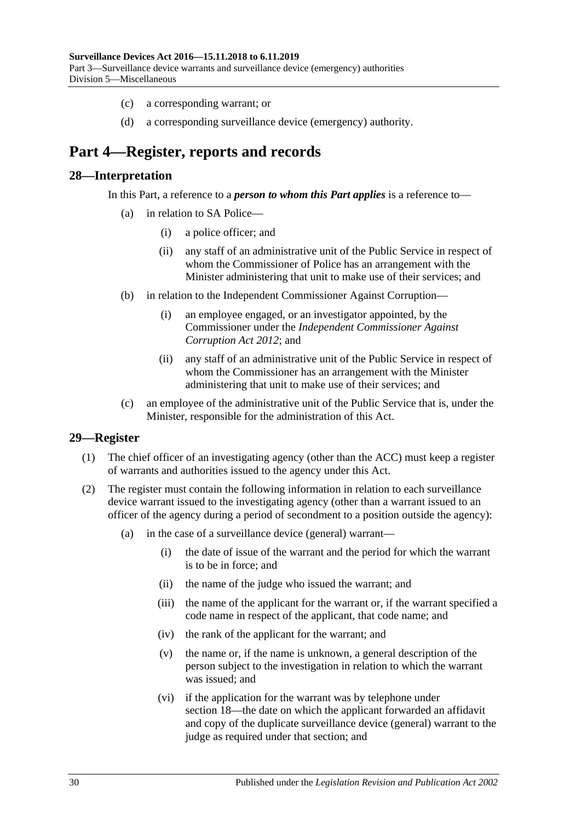- (c) a corresponding warrant; or
- (d) a corresponding surveillance device (emergency) authority.

# <span id="page-29-0"></span>**Part 4—Register, reports and records**

#### <span id="page-29-1"></span>**28—Interpretation**

In this Part, a reference to a *person to whom this Part applies* is a reference to—

- (a) in relation to SA Police—
	- (i) a police officer; and
	- (ii) any staff of an administrative unit of the Public Service in respect of whom the Commissioner of Police has an arrangement with the Minister administering that unit to make use of their services; and
- (b) in relation to the Independent Commissioner Against Corruption—
	- (i) an employee engaged, or an investigator appointed, by the Commissioner under the *[Independent Commissioner Against](http://www.legislation.sa.gov.au/index.aspx?action=legref&type=act&legtitle=Independent%20Commissioner%20Against%20Corruption%20Act%202012)  [Corruption Act](http://www.legislation.sa.gov.au/index.aspx?action=legref&type=act&legtitle=Independent%20Commissioner%20Against%20Corruption%20Act%202012) 2012*; and
	- (ii) any staff of an administrative unit of the Public Service in respect of whom the Commissioner has an arrangement with the Minister administering that unit to make use of their services; and
- (c) an employee of the administrative unit of the Public Service that is, under the Minister, responsible for the administration of this Act.

### <span id="page-29-2"></span>**29—Register**

- (1) The chief officer of an investigating agency (other than the ACC) must keep a register of warrants and authorities issued to the agency under this Act.
- (2) The register must contain the following information in relation to each surveillance device warrant issued to the investigating agency (other than a warrant issued to an officer of the agency during a period of secondment to a position outside the agency):
	- (a) in the case of a surveillance device (general) warrant—
		- (i) the date of issue of the warrant and the period for which the warrant is to be in force; and
		- (ii) the name of the judge who issued the warrant; and
		- (iii) the name of the applicant for the warrant or, if the warrant specified a code name in respect of the applicant, that code name; and
		- (iv) the rank of the applicant for the warrant; and
		- (v) the name or, if the name is unknown, a general description of the person subject to the investigation in relation to which the warrant was issued; and
		- (vi) if the application for the warrant was by telephone under [section](#page-19-0) 18—the date on which the applicant forwarded an affidavit and copy of the duplicate surveillance device (general) warrant to the judge as required under that section; and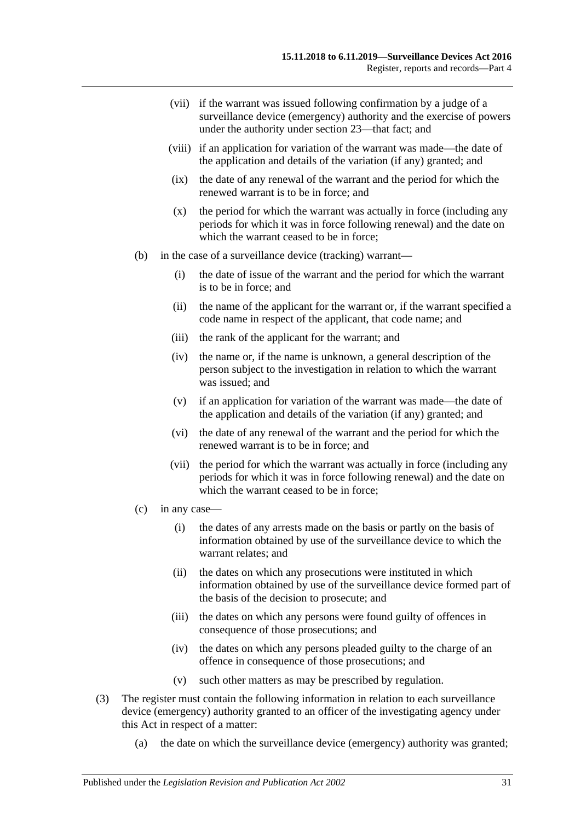- (vii) if the warrant was issued following confirmation by a judge of a surveillance device (emergency) authority and the exercise of powers under the authority under [section](#page-27-0) 23—that fact; and
- (viii) if an application for variation of the warrant was made—the date of the application and details of the variation (if any) granted; and
- (ix) the date of any renewal of the warrant and the period for which the renewed warrant is to be in force; and
- (x) the period for which the warrant was actually in force (including any periods for which it was in force following renewal) and the date on which the warrant ceased to be in force:
- (b) in the case of a surveillance device (tracking) warrant—
	- (i) the date of issue of the warrant and the period for which the warrant is to be in force; and
	- (ii) the name of the applicant for the warrant or, if the warrant specified a code name in respect of the applicant, that code name; and
	- (iii) the rank of the applicant for the warrant; and
	- (iv) the name or, if the name is unknown, a general description of the person subject to the investigation in relation to which the warrant was issued; and
	- (v) if an application for variation of the warrant was made—the date of the application and details of the variation (if any) granted; and
	- (vi) the date of any renewal of the warrant and the period for which the renewed warrant is to be in force; and
	- (vii) the period for which the warrant was actually in force (including any periods for which it was in force following renewal) and the date on which the warrant ceased to be in force;
- (c) in any case—
	- (i) the dates of any arrests made on the basis or partly on the basis of information obtained by use of the surveillance device to which the warrant relates; and
	- (ii) the dates on which any prosecutions were instituted in which information obtained by use of the surveillance device formed part of the basis of the decision to prosecute; and
	- (iii) the dates on which any persons were found guilty of offences in consequence of those prosecutions; and
	- (iv) the dates on which any persons pleaded guilty to the charge of an offence in consequence of those prosecutions; and
	- (v) such other matters as may be prescribed by regulation.
- (3) The register must contain the following information in relation to each surveillance device (emergency) authority granted to an officer of the investigating agency under this Act in respect of a matter:
	- (a) the date on which the surveillance device (emergency) authority was granted;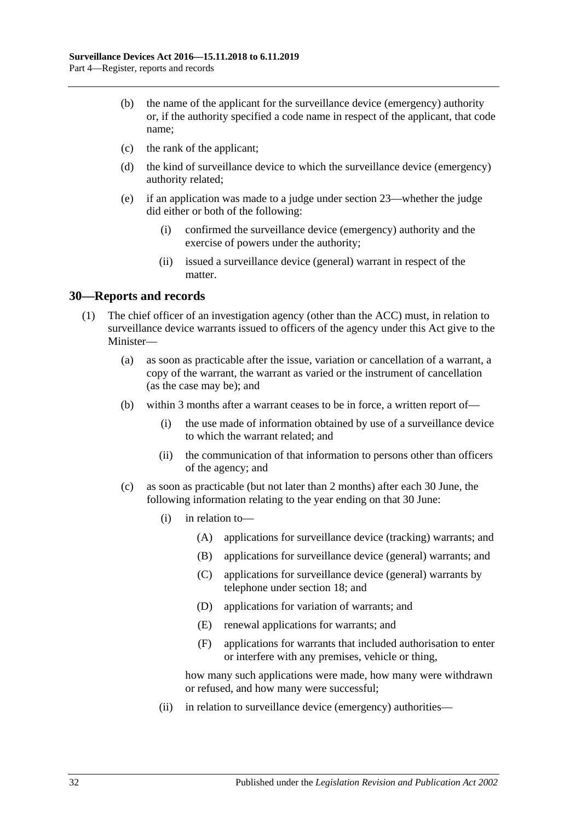- (b) the name of the applicant for the surveillance device (emergency) authority or, if the authority specified a code name in respect of the applicant, that code name;
- (c) the rank of the applicant;
- (d) the kind of surveillance device to which the surveillance device (emergency) authority related;
- (e) if an application was made to a judge under [section](#page-27-0) 23—whether the judge did either or both of the following:
	- (i) confirmed the surveillance device (emergency) authority and the exercise of powers under the authority;
	- (ii) issued a surveillance device (general) warrant in respect of the matter.

### <span id="page-31-1"></span><span id="page-31-0"></span>**30—Reports and records**

- <span id="page-31-2"></span>(1) The chief officer of an investigation agency (other than the ACC) must, in relation to surveillance device warrants issued to officers of the agency under this Act give to the Minister—
	- (a) as soon as practicable after the issue, variation or cancellation of a warrant, a copy of the warrant, the warrant as varied or the instrument of cancellation (as the case may be); and
	- (b) within 3 months after a warrant ceases to be in force, a written report of—
		- (i) the use made of information obtained by use of a surveillance device to which the warrant related; and
		- (ii) the communication of that information to persons other than officers of the agency; and
	- (c) as soon as practicable (but not later than 2 months) after each 30 June, the following information relating to the year ending on that 30 June:
		- (i) in relation to—
			- (A) applications for surveillance device (tracking) warrants; and
			- (B) applications for surveillance device (general) warrants; and
			- (C) applications for surveillance device (general) warrants by telephone under [section](#page-19-0) 18; and
			- (D) applications for variation of warrants; and
			- (E) renewal applications for warrants; and
			- (F) applications for warrants that included authorisation to enter or interfere with any premises, vehicle or thing,

how many such applications were made, how many were withdrawn or refused, and how many were successful;

(ii) in relation to surveillance device (emergency) authorities—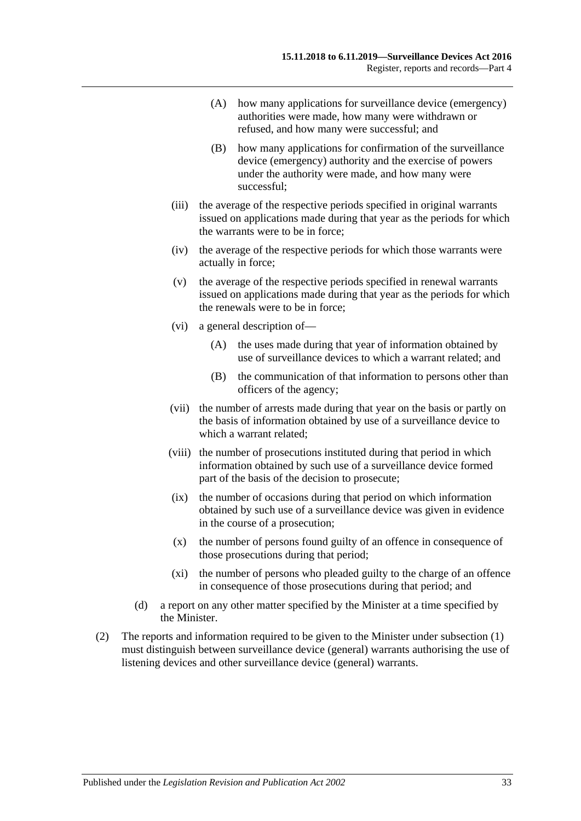- (A) how many applications for surveillance device (emergency) authorities were made, how many were withdrawn or refused, and how many were successful; and
- (B) how many applications for confirmation of the surveillance device (emergency) authority and the exercise of powers under the authority were made, and how many were successful;
- (iii) the average of the respective periods specified in original warrants issued on applications made during that year as the periods for which the warrants were to be in force;
- (iv) the average of the respective periods for which those warrants were actually in force;
- (v) the average of the respective periods specified in renewal warrants issued on applications made during that year as the periods for which the renewals were to be in force;
- (vi) a general description of—
	- (A) the uses made during that year of information obtained by use of surveillance devices to which a warrant related; and
	- (B) the communication of that information to persons other than officers of the agency;
- (vii) the number of arrests made during that year on the basis or partly on the basis of information obtained by use of a surveillance device to which a warrant related;
- (viii) the number of prosecutions instituted during that period in which information obtained by such use of a surveillance device formed part of the basis of the decision to prosecute;
- (ix) the number of occasions during that period on which information obtained by such use of a surveillance device was given in evidence in the course of a prosecution;
- (x) the number of persons found guilty of an offence in consequence of those prosecutions during that period;
- (xi) the number of persons who pleaded guilty to the charge of an offence in consequence of those prosecutions during that period; and
- (d) a report on any other matter specified by the Minister at a time specified by the Minister.
- (2) The reports and information required to be given to the Minister under [subsection](#page-31-1) (1) must distinguish between surveillance device (general) warrants authorising the use of listening devices and other surveillance device (general) warrants.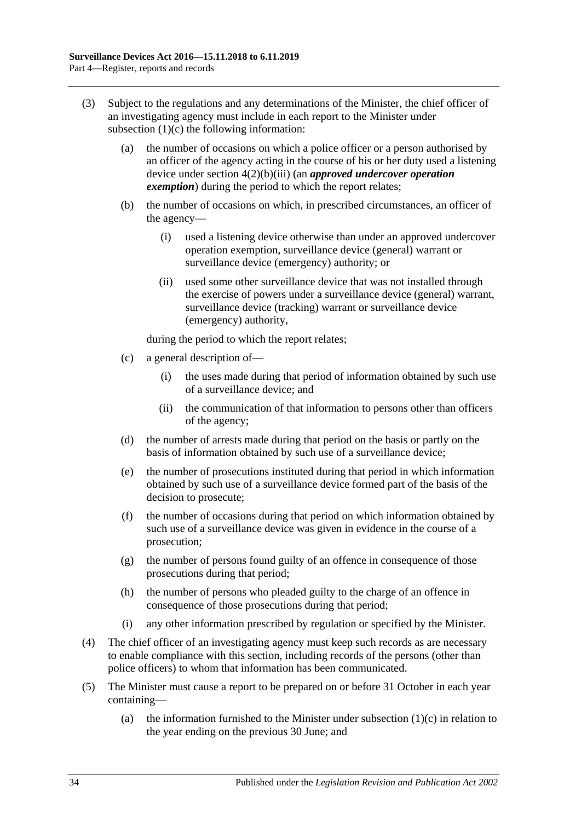- (3) Subject to the regulations and any determinations of the Minister, the chief officer of an investigating agency must include in each report to the Minister under [subsection](#page-31-2)  $(1)(c)$  the following information:
	- (a) the number of occasions on which a police officer or a person authorised by an officer of the agency acting in the course of his or her duty used a listening device under section [4\(2\)\(b\)\(iii\)](#page-8-6) (an *approved undercover operation exemption*) during the period to which the report relates;
	- (b) the number of occasions on which, in prescribed circumstances, an officer of the agency—
		- (i) used a listening device otherwise than under an approved undercover operation exemption, surveillance device (general) warrant or surveillance device (emergency) authority; or
		- (ii) used some other surveillance device that was not installed through the exercise of powers under a surveillance device (general) warrant, surveillance device (tracking) warrant or surveillance device (emergency) authority,

during the period to which the report relates;

- (c) a general description of—
	- (i) the uses made during that period of information obtained by such use of a surveillance device; and
	- (ii) the communication of that information to persons other than officers of the agency;
- (d) the number of arrests made during that period on the basis or partly on the basis of information obtained by such use of a surveillance device;
- (e) the number of prosecutions instituted during that period in which information obtained by such use of a surveillance device formed part of the basis of the decision to prosecute;
- (f) the number of occasions during that period on which information obtained by such use of a surveillance device was given in evidence in the course of a prosecution;
- (g) the number of persons found guilty of an offence in consequence of those prosecutions during that period;
- (h) the number of persons who pleaded guilty to the charge of an offence in consequence of those prosecutions during that period;
- (i) any other information prescribed by regulation or specified by the Minister.
- (4) The chief officer of an investigating agency must keep such records as are necessary to enable compliance with this section, including records of the persons (other than police officers) to whom that information has been communicated.
- <span id="page-33-0"></span>(5) The Minister must cause a report to be prepared on or before 31 October in each year containing
	- (a) the information furnished to the Minister under [subsection](#page-31-2)  $(1)(c)$  in relation to the year ending on the previous 30 June; and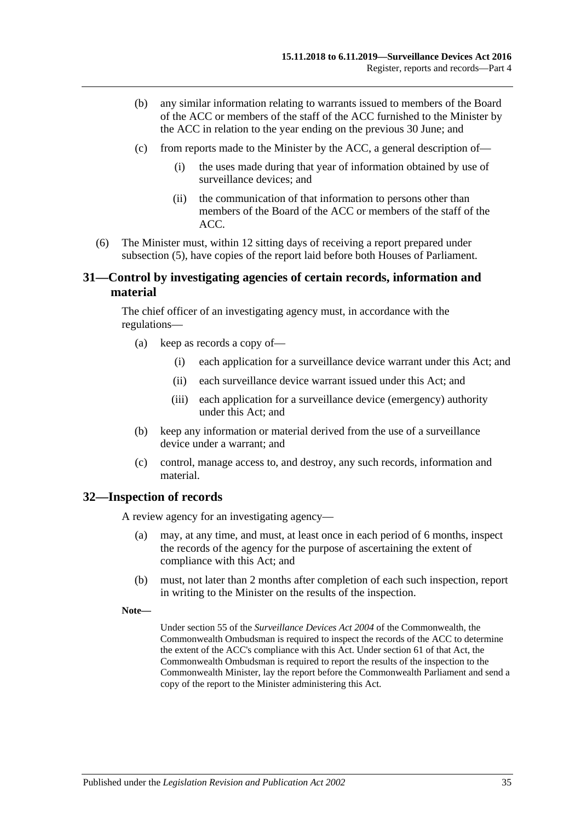- (b) any similar information relating to warrants issued to members of the Board of the ACC or members of the staff of the ACC furnished to the Minister by the ACC in relation to the year ending on the previous 30 June; and
- (c) from reports made to the Minister by the ACC, a general description of—
	- (i) the uses made during that year of information obtained by use of surveillance devices; and
	- (ii) the communication of that information to persons other than members of the Board of the ACC or members of the staff of the ACC.
- (6) The Minister must, within 12 sitting days of receiving a report prepared under [subsection](#page-33-0) (5), have copies of the report laid before both Houses of Parliament.

### <span id="page-34-0"></span>**31—Control by investigating agencies of certain records, information and material**

The chief officer of an investigating agency must, in accordance with the regulations—

- (a) keep as records a copy of—
	- (i) each application for a surveillance device warrant under this Act; and
	- (ii) each surveillance device warrant issued under this Act; and
	- (iii) each application for a surveillance device (emergency) authority under this Act; and
- (b) keep any information or material derived from the use of a surveillance device under a warrant; and
- (c) control, manage access to, and destroy, any such records, information and material.

#### <span id="page-34-1"></span>**32—Inspection of records**

A review agency for an investigating agency—

- (a) may, at any time, and must, at least once in each period of 6 months, inspect the records of the agency for the purpose of ascertaining the extent of compliance with this Act; and
- (b) must, not later than 2 months after completion of each such inspection, report in writing to the Minister on the results of the inspection.
- **Note—**

Under section 55 of the *Surveillance Devices Act 2004* of the Commonwealth, the Commonwealth Ombudsman is required to inspect the records of the ACC to determine the extent of the ACC's compliance with this Act. Under section 61 of that Act, the Commonwealth Ombudsman is required to report the results of the inspection to the Commonwealth Minister, lay the report before the Commonwealth Parliament and send a copy of the report to the Minister administering this Act.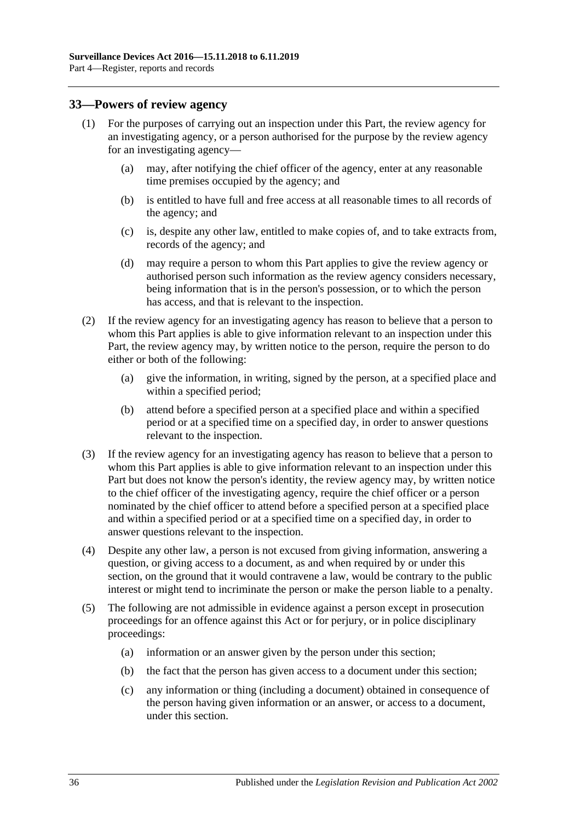#### <span id="page-35-0"></span>**33—Powers of review agency**

- (1) For the purposes of carrying out an inspection under this Part, the review agency for an investigating agency, or a person authorised for the purpose by the review agency for an investigating agency—
	- (a) may, after notifying the chief officer of the agency, enter at any reasonable time premises occupied by the agency; and
	- (b) is entitled to have full and free access at all reasonable times to all records of the agency; and
	- (c) is, despite any other law, entitled to make copies of, and to take extracts from, records of the agency; and
	- (d) may require a person to whom this Part applies to give the review agency or authorised person such information as the review agency considers necessary, being information that is in the person's possession, or to which the person has access, and that is relevant to the inspection.
- (2) If the review agency for an investigating agency has reason to believe that a person to whom this Part applies is able to give information relevant to an inspection under this Part, the review agency may, by written notice to the person, require the person to do either or both of the following:
	- (a) give the information, in writing, signed by the person, at a specified place and within a specified period;
	- (b) attend before a specified person at a specified place and within a specified period or at a specified time on a specified day, in order to answer questions relevant to the inspection.
- (3) If the review agency for an investigating agency has reason to believe that a person to whom this Part applies is able to give information relevant to an inspection under this Part but does not know the person's identity, the review agency may, by written notice to the chief officer of the investigating agency, require the chief officer or a person nominated by the chief officer to attend before a specified person at a specified place and within a specified period or at a specified time on a specified day, in order to answer questions relevant to the inspection.
- (4) Despite any other law, a person is not excused from giving information, answering a question, or giving access to a document, as and when required by or under this section, on the ground that it would contravene a law, would be contrary to the public interest or might tend to incriminate the person or make the person liable to a penalty.
- (5) The following are not admissible in evidence against a person except in prosecution proceedings for an offence against this Act or for perjury, or in police disciplinary proceedings:
	- (a) information or an answer given by the person under this section;
	- (b) the fact that the person has given access to a document under this section;
	- (c) any information or thing (including a document) obtained in consequence of the person having given information or an answer, or access to a document, under this section.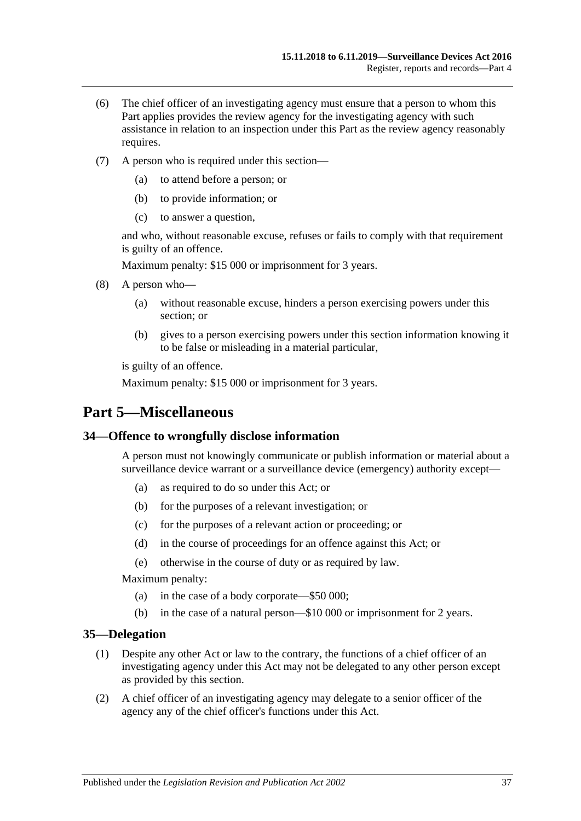- (6) The chief officer of an investigating agency must ensure that a person to whom this Part applies provides the review agency for the investigating agency with such assistance in relation to an inspection under this Part as the review agency reasonably requires.
- (7) A person who is required under this section—
	- (a) to attend before a person; or
	- (b) to provide information; or
	- (c) to answer a question,

and who, without reasonable excuse, refuses or fails to comply with that requirement is guilty of an offence.

Maximum penalty: \$15 000 or imprisonment for 3 years.

- (8) A person who—
	- (a) without reasonable excuse, hinders a person exercising powers under this section; or
	- (b) gives to a person exercising powers under this section information knowing it to be false or misleading in a material particular,

is guilty of an offence.

Maximum penalty: \$15 000 or imprisonment for 3 years.

# <span id="page-36-0"></span>**Part 5—Miscellaneous**

#### <span id="page-36-1"></span>**34—Offence to wrongfully disclose information**

A person must not knowingly communicate or publish information or material about a surveillance device warrant or a surveillance device (emergency) authority except—

- (a) as required to do so under this Act; or
- (b) for the purposes of a relevant investigation; or
- (c) for the purposes of a relevant action or proceeding; or
- (d) in the course of proceedings for an offence against this Act; or
- (e) otherwise in the course of duty or as required by law.

Maximum penalty:

- (a) in the case of a body corporate—\$50 000;
- (b) in the case of a natural person—\$10 000 or imprisonment for 2 years.

#### <span id="page-36-2"></span>**35—Delegation**

- (1) Despite any other Act or law to the contrary, the functions of a chief officer of an investigating agency under this Act may not be delegated to any other person except as provided by this section.
- (2) A chief officer of an investigating agency may delegate to a senior officer of the agency any of the chief officer's functions under this Act.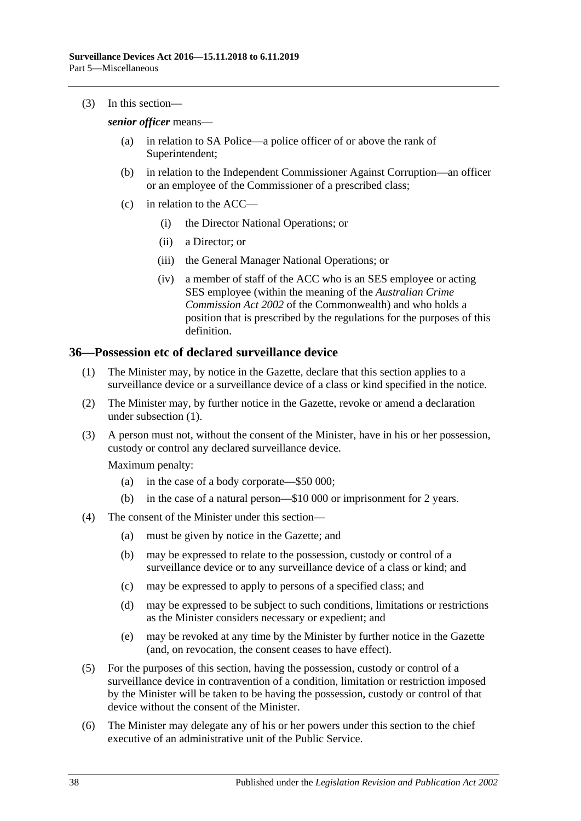(3) In this section—

*senior officer* means—

- (a) in relation to SA Police—a police officer of or above the rank of Superintendent;
- (b) in relation to the Independent Commissioner Against Corruption—an officer or an employee of the Commissioner of a prescribed class;
- (c) in relation to the ACC—
	- (i) the Director National Operations; or
	- (ii) a Director; or
	- (iii) the General Manager National Operations; or
	- (iv) a member of staff of the ACC who is an SES employee or acting SES employee (within the meaning of the *Australian Crime Commission Act 2002* of the Commonwealth) and who holds a position that is prescribed by the regulations for the purposes of this definition.

#### <span id="page-37-1"></span><span id="page-37-0"></span>**36—Possession etc of declared surveillance device**

- (1) The Minister may, by notice in the Gazette, declare that this section applies to a surveillance device or a surveillance device of a class or kind specified in the notice.
- (2) The Minister may, by further notice in the Gazette, revoke or amend a declaration under [subsection](#page-37-1) (1).
- (3) A person must not, without the consent of the Minister, have in his or her possession, custody or control any declared surveillance device.

Maximum penalty:

- (a) in the case of a body corporate—\$50 000;
- (b) in the case of a natural person—\$10 000 or imprisonment for 2 years.
- (4) The consent of the Minister under this section—
	- (a) must be given by notice in the Gazette; and
	- (b) may be expressed to relate to the possession, custody or control of a surveillance device or to any surveillance device of a class or kind; and
	- (c) may be expressed to apply to persons of a specified class; and
	- (d) may be expressed to be subject to such conditions, limitations or restrictions as the Minister considers necessary or expedient; and
	- (e) may be revoked at any time by the Minister by further notice in the Gazette (and, on revocation, the consent ceases to have effect).
- (5) For the purposes of this section, having the possession, custody or control of a surveillance device in contravention of a condition, limitation or restriction imposed by the Minister will be taken to be having the possession, custody or control of that device without the consent of the Minister.
- (6) The Minister may delegate any of his or her powers under this section to the chief executive of an administrative unit of the Public Service.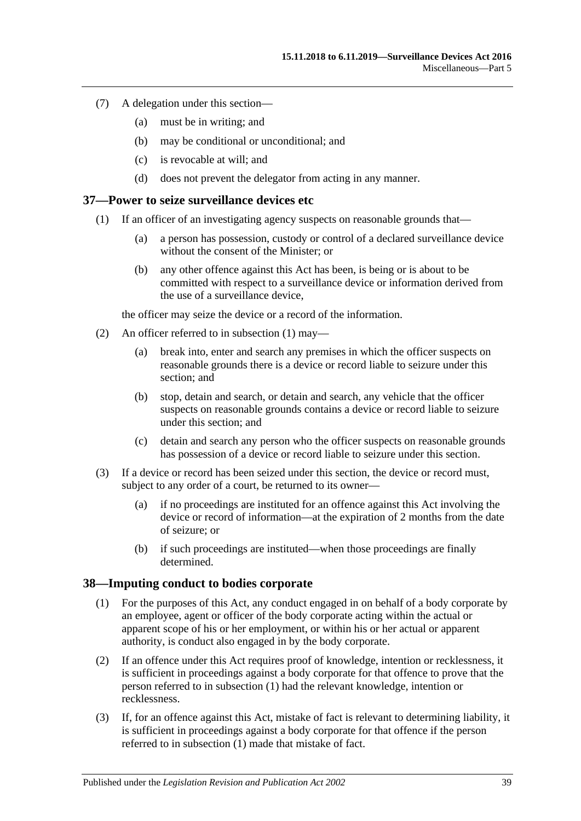- (7) A delegation under this section—
	- (a) must be in writing; and
	- (b) may be conditional or unconditional; and
	- (c) is revocable at will; and
	- (d) does not prevent the delegator from acting in any manner.

#### <span id="page-38-2"></span><span id="page-38-0"></span>**37—Power to seize surveillance devices etc**

- (1) If an officer of an investigating agency suspects on reasonable grounds that—
	- (a) a person has possession, custody or control of a declared surveillance device without the consent of the Minister; or
	- (b) any other offence against this Act has been, is being or is about to be committed with respect to a surveillance device or information derived from the use of a surveillance device,

the officer may seize the device or a record of the information.

- (2) An officer referred to in [subsection](#page-38-2) (1) may—
	- (a) break into, enter and search any premises in which the officer suspects on reasonable grounds there is a device or record liable to seizure under this section; and
	- (b) stop, detain and search, or detain and search, any vehicle that the officer suspects on reasonable grounds contains a device or record liable to seizure under this section; and
	- (c) detain and search any person who the officer suspects on reasonable grounds has possession of a device or record liable to seizure under this section.
- (3) If a device or record has been seized under this section, the device or record must, subject to any order of a court, be returned to its owner—
	- (a) if no proceedings are instituted for an offence against this Act involving the device or record of information—at the expiration of 2 months from the date of seizure; or
	- (b) if such proceedings are instituted—when those proceedings are finally determined.

#### <span id="page-38-3"></span><span id="page-38-1"></span>**38—Imputing conduct to bodies corporate**

- (1) For the purposes of this Act, any conduct engaged in on behalf of a body corporate by an employee, agent or officer of the body corporate acting within the actual or apparent scope of his or her employment, or within his or her actual or apparent authority, is conduct also engaged in by the body corporate.
- (2) If an offence under this Act requires proof of knowledge, intention or recklessness, it is sufficient in proceedings against a body corporate for that offence to prove that the person referred to in [subsection](#page-38-3) (1) had the relevant knowledge, intention or recklessness.
- (3) If, for an offence against this Act, mistake of fact is relevant to determining liability, it is sufficient in proceedings against a body corporate for that offence if the person referred to in [subsection](#page-38-3) (1) made that mistake of fact.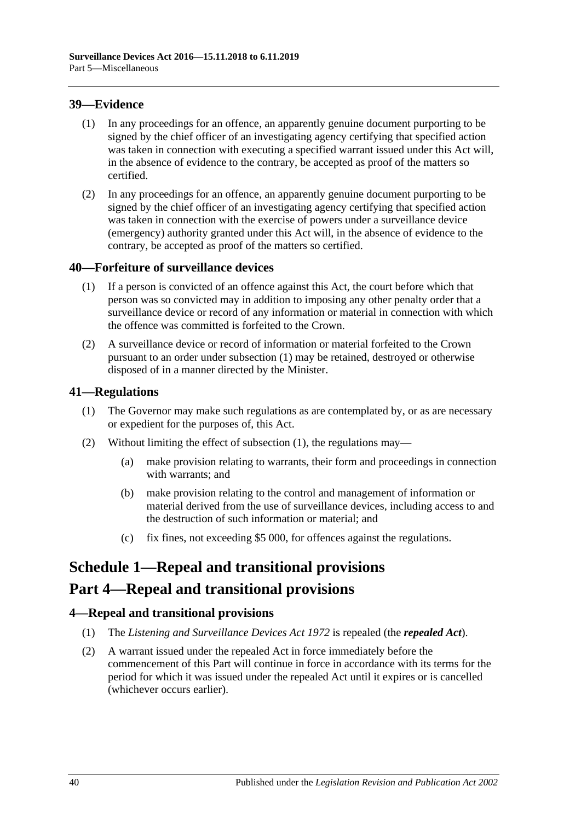### <span id="page-39-0"></span>**39—Evidence**

- (1) In any proceedings for an offence, an apparently genuine document purporting to be signed by the chief officer of an investigating agency certifying that specified action was taken in connection with executing a specified warrant issued under this Act will, in the absence of evidence to the contrary, be accepted as proof of the matters so certified.
- (2) In any proceedings for an offence, an apparently genuine document purporting to be signed by the chief officer of an investigating agency certifying that specified action was taken in connection with the exercise of powers under a surveillance device (emergency) authority granted under this Act will, in the absence of evidence to the contrary, be accepted as proof of the matters so certified.

## <span id="page-39-5"></span><span id="page-39-1"></span>**40—Forfeiture of surveillance devices**

- (1) If a person is convicted of an offence against this Act, the court before which that person was so convicted may in addition to imposing any other penalty order that a surveillance device or record of any information or material in connection with which the offence was committed is forfeited to the Crown.
- (2) A surveillance device or record of information or material forfeited to the Crown pursuant to an order under [subsection](#page-39-5) (1) may be retained, destroyed or otherwise disposed of in a manner directed by the Minister.

## <span id="page-39-6"></span><span id="page-39-2"></span>**41—Regulations**

- (1) The Governor may make such regulations as are contemplated by, or as are necessary or expedient for the purposes of, this Act.
- (2) Without limiting the effect of [subsection](#page-39-6) (1), the regulations may—
	- (a) make provision relating to warrants, their form and proceedings in connection with warrants; and
	- (b) make provision relating to the control and management of information or material derived from the use of surveillance devices, including access to and the destruction of such information or material; and
	- (c) fix fines, not exceeding \$5 000, for offences against the regulations.

# <span id="page-39-3"></span>**Schedule 1—Repeal and transitional provisions**

# **Part 4—Repeal and transitional provisions**

### <span id="page-39-4"></span>**4—Repeal and transitional provisions**

- (1) The *[Listening and Surveillance Devices Act](http://www.legislation.sa.gov.au/index.aspx?action=legref&type=act&legtitle=Listening%20and%20Surveillance%20Devices%20Act%201972) 1972* is repealed (the *repealed Act*).
- (2) A warrant issued under the repealed Act in force immediately before the commencement of this Part will continue in force in accordance with its terms for the period for which it was issued under the repealed Act until it expires or is cancelled (whichever occurs earlier).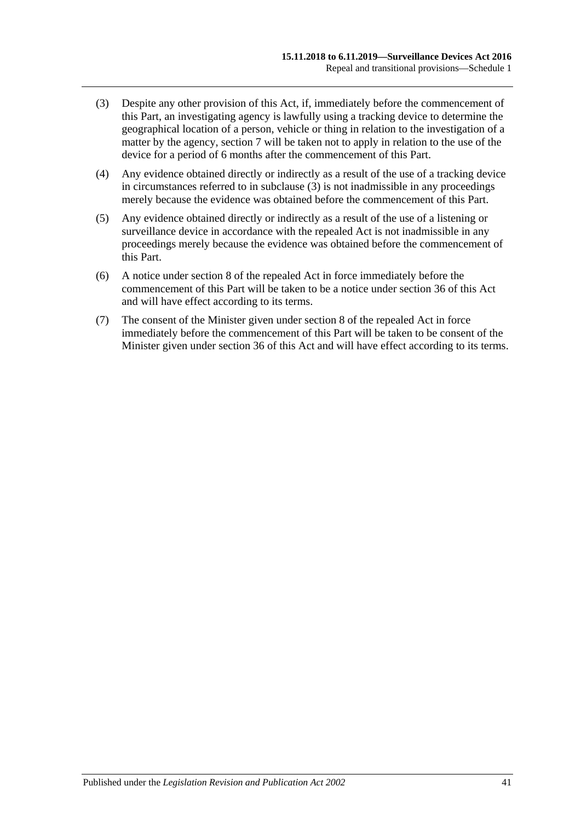- <span id="page-40-0"></span>(3) Despite any other provision of this Act, if, immediately before the commencement of this Part, an investigating agency is lawfully using a tracking device to determine the geographical location of a person, vehicle or thing in relation to the investigation of a matter by the agency, [section](#page-12-0) 7 will be taken not to apply in relation to the use of the device for a period of 6 months after the commencement of this Part.
- (4) Any evidence obtained directly or indirectly as a result of the use of a tracking device in circumstances referred to in [subclause](#page-40-0) (3) is not inadmissible in any proceedings merely because the evidence was obtained before the commencement of this Part.
- (5) Any evidence obtained directly or indirectly as a result of the use of a listening or surveillance device in accordance with the repealed Act is not inadmissible in any proceedings merely because the evidence was obtained before the commencement of this Part.
- (6) A notice under section 8 of the repealed Act in force immediately before the commencement of this Part will be taken to be a notice under [section](#page-37-0) 36 of this Act and will have effect according to its terms.
- (7) The consent of the Minister given under section 8 of the repealed Act in force immediately before the commencement of this Part will be taken to be consent of the Minister given under [section](#page-37-0) 36 of this Act and will have effect according to its terms.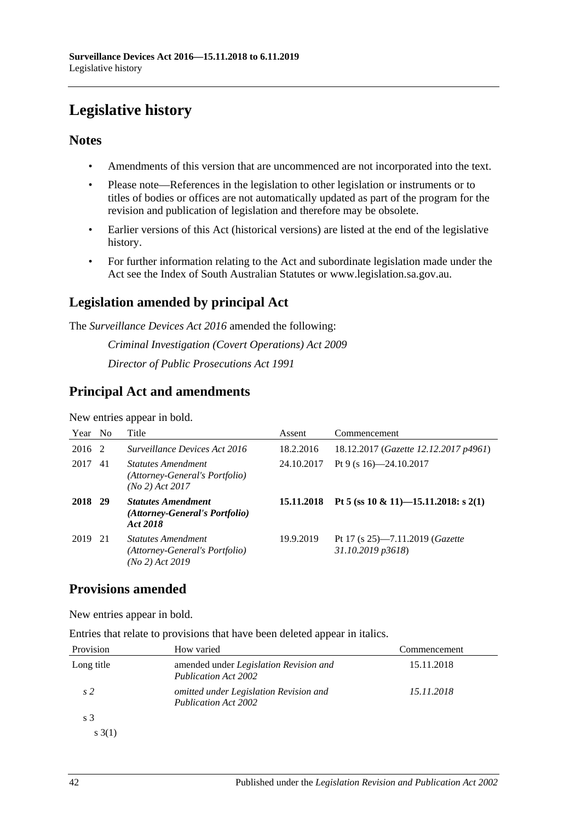# <span id="page-41-0"></span>**Legislative history**

## **Notes**

- Amendments of this version that are uncommenced are not incorporated into the text.
- Please note—References in the legislation to other legislation or instruments or to titles of bodies or offices are not automatically updated as part of the program for the revision and publication of legislation and therefore may be obsolete.
- Earlier versions of this Act (historical versions) are listed at the end of the legislative history.
- For further information relating to the Act and subordinate legislation made under the Act see the Index of South Australian Statutes or www.legislation.sa.gov.au.

# **Legislation amended by principal Act**

The *Surveillance Devices Act 2016* amended the following:

*Criminal Investigation (Covert Operations) Act 2009 Director of Public Prosecutions Act 1991*

# **Principal Act and amendments**

New entries appear in bold.

| Year No |      | Title                                                                          | Assent     | Commencement                                                    |
|---------|------|--------------------------------------------------------------------------------|------------|-----------------------------------------------------------------|
| 2016 2  |      | Surveillance Devices Act 2016                                                  | 18.2.2016  | 18.12.2017 (Gazette 12.12.2017 p4961)                           |
| 2017    | 41   | <i>Statutes Amendment</i><br>(Attorney-General's Portfolio)<br>(No 2) Act 2017 | 24.10.2017 | Pt 9 (s $16$ )-24.10.2017                                       |
| 2018 29 |      | <b>Statutes Amendment</b><br>(Attorney-General's Portfolio)<br>Act 2018        | 15.11.2018 | Pt 5 (ss 10 & 11)-15.11.2018: s 2(1)                            |
| 2019    | - 21 | <b>Statutes Amendment</b><br>(Attorney-General's Portfolio)<br>(No 2) Act 2019 | 19.9.2019  | Pt 17 (s $25$ )—7.11.2019 ( <i>Gazette</i><br>31.10.2019 p3618) |

# **Provisions amended**

New entries appear in bold.

Entries that relate to provisions that have been deleted appear in italics.

| Provision      | How varied                                                            | Commencement |
|----------------|-----------------------------------------------------------------------|--------------|
| Long title     | amended under Legislation Revision and<br><b>Publication Act 2002</b> | 15.11.2018   |
| s <sub>2</sub> | omitted under Legislation Revision and<br><b>Publication Act 2002</b> | 15.11.2018   |
| s 3            |                                                                       |              |
| s(3(1))        |                                                                       |              |